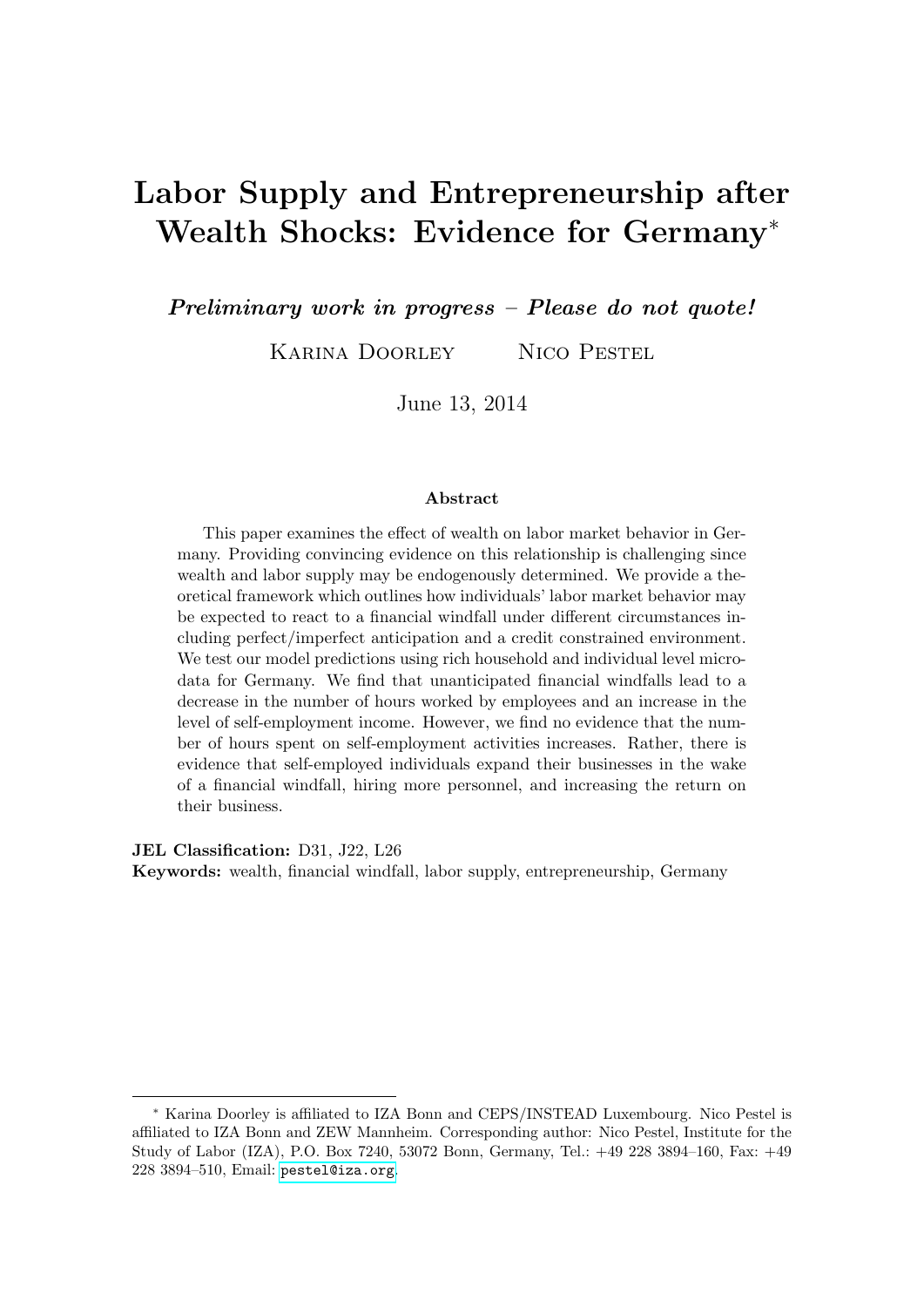# Labor Supply and Entrepreneurship after Wealth Shocks: Evidence for Germany<sup>∗</sup>

Preliminary work in progress – Please do not quote!

Karina Doorley Nico Pestel

June 13, 2014

#### Abstract

This paper examines the effect of wealth on labor market behavior in Germany. Providing convincing evidence on this relationship is challenging since wealth and labor supply may be endogenously determined. We provide a theoretical framework which outlines how individuals' labor market behavior may be expected to react to a financial windfall under different circumstances including perfect/imperfect anticipation and a credit constrained environment. We test our model predictions using rich household and individual level microdata for Germany. We find that unanticipated financial windfalls lead to a decrease in the number of hours worked by employees and an increase in the level of self-employment income. However, we find no evidence that the number of hours spent on self-employment activities increases. Rather, there is evidence that self-employed individuals expand their businesses in the wake of a financial windfall, hiring more personnel, and increasing the return on their business.

JEL Classification: D31, J22, L26

Keywords: wealth, financial windfall, labor supply, entrepreneurship, Germany

<sup>∗</sup> Karina Doorley is affiliated to IZA Bonn and CEPS/INSTEAD Luxembourg. Nico Pestel is affiliated to IZA Bonn and ZEW Mannheim. Corresponding author: Nico Pestel, Institute for the Study of Labor (IZA), P.O. Box 7240, 53072 Bonn, Germany, Tel.: +49 228 3894–160, Fax: +49 228 3894–510, Email: <pestel@iza.org>.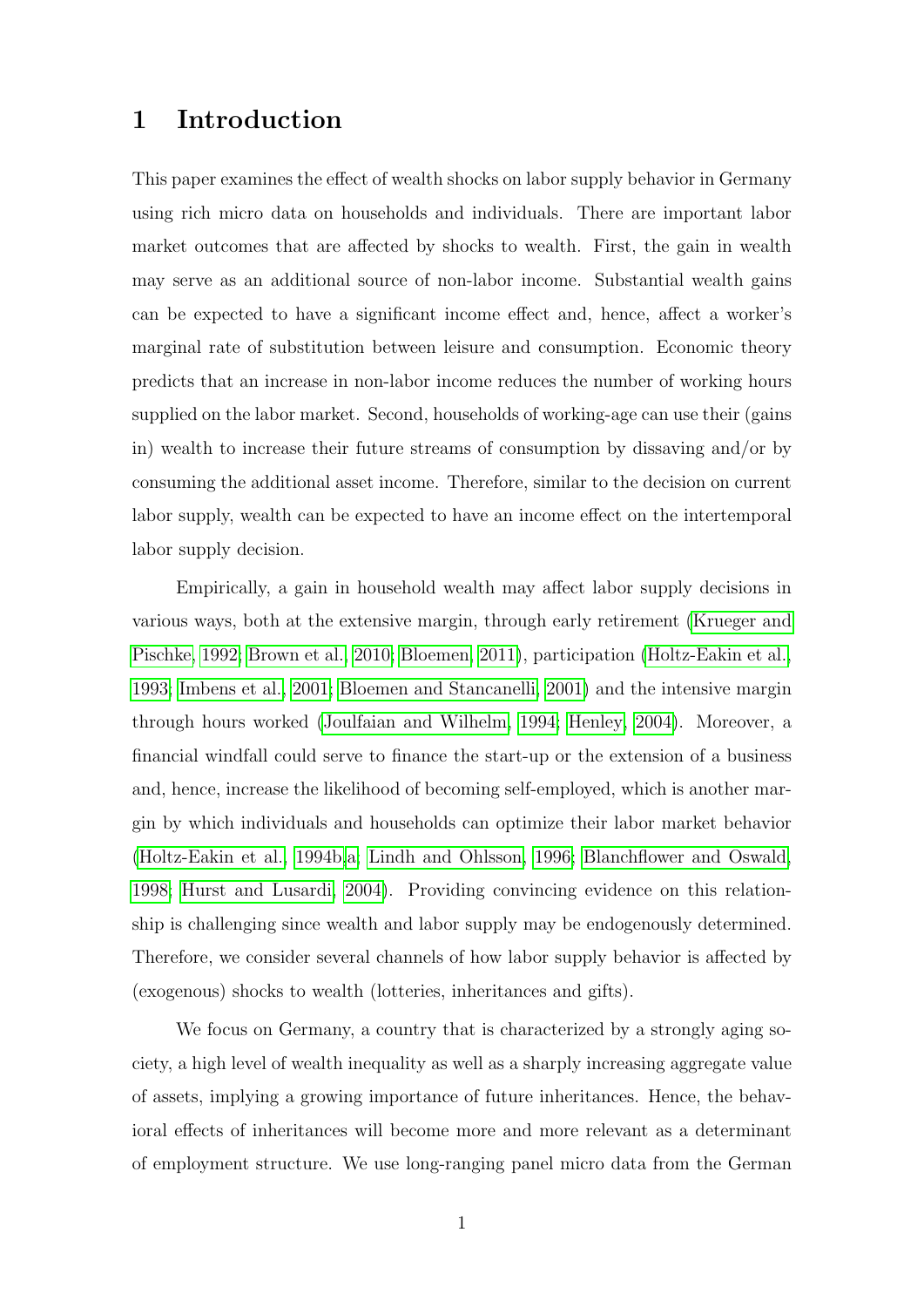### 1 Introduction

This paper examines the effect of wealth shocks on labor supply behavior in Germany using rich micro data on households and individuals. There are important labor market outcomes that are affected by shocks to wealth. First, the gain in wealth may serve as an additional source of non-labor income. Substantial wealth gains can be expected to have a significant income effect and, hence, affect a worker's marginal rate of substitution between leisure and consumption. Economic theory predicts that an increase in non-labor income reduces the number of working hours supplied on the labor market. Second, households of working-age can use their (gains in) wealth to increase their future streams of consumption by dissaving and/or by consuming the additional asset income. Therefore, similar to the decision on current labor supply, wealth can be expected to have an income effect on the intertemporal labor supply decision.

Empirically, a gain in household wealth may affect labor supply decisions in various ways, both at the extensive margin, through early retirement [\(Krueger and](#page-20-0) [Pischke, 1992;](#page-20-0) [Brown et al., 2010;](#page-20-1) [Bloemen, 2011\)](#page-20-2), participation [\(Holtz-Eakin et al.,](#page-20-3) [1993;](#page-20-3) [Imbens et al., 2001;](#page-20-4) [Bloemen and Stancanelli, 2001\)](#page-20-5) and the intensive margin through hours worked [\(Joulfaian and Wilhelm, 1994;](#page-20-6) [Henley, 2004\)](#page-20-7). Moreover, a financial windfall could serve to finance the start-up or the extension of a business and, hence, increase the likelihood of becoming self-employed, which is another margin by which individuals and households can optimize their labor market behavior [\(Holtz-Eakin et al., 1994b,](#page-20-8)[a;](#page-20-9) [Lindh and Ohlsson, 1996;](#page-20-10) [Blanchflower and Oswald,](#page-20-11) [1998;](#page-20-11) [Hurst and Lusardi, 2004\)](#page-20-12). Providing convincing evidence on this relationship is challenging since wealth and labor supply may be endogenously determined. Therefore, we consider several channels of how labor supply behavior is affected by (exogenous) shocks to wealth (lotteries, inheritances and gifts).

We focus on Germany, a country that is characterized by a strongly aging society, a high level of wealth inequality as well as a sharply increasing aggregate value of assets, implying a growing importance of future inheritances. Hence, the behavioral effects of inheritances will become more and more relevant as a determinant of employment structure. We use long-ranging panel micro data from the German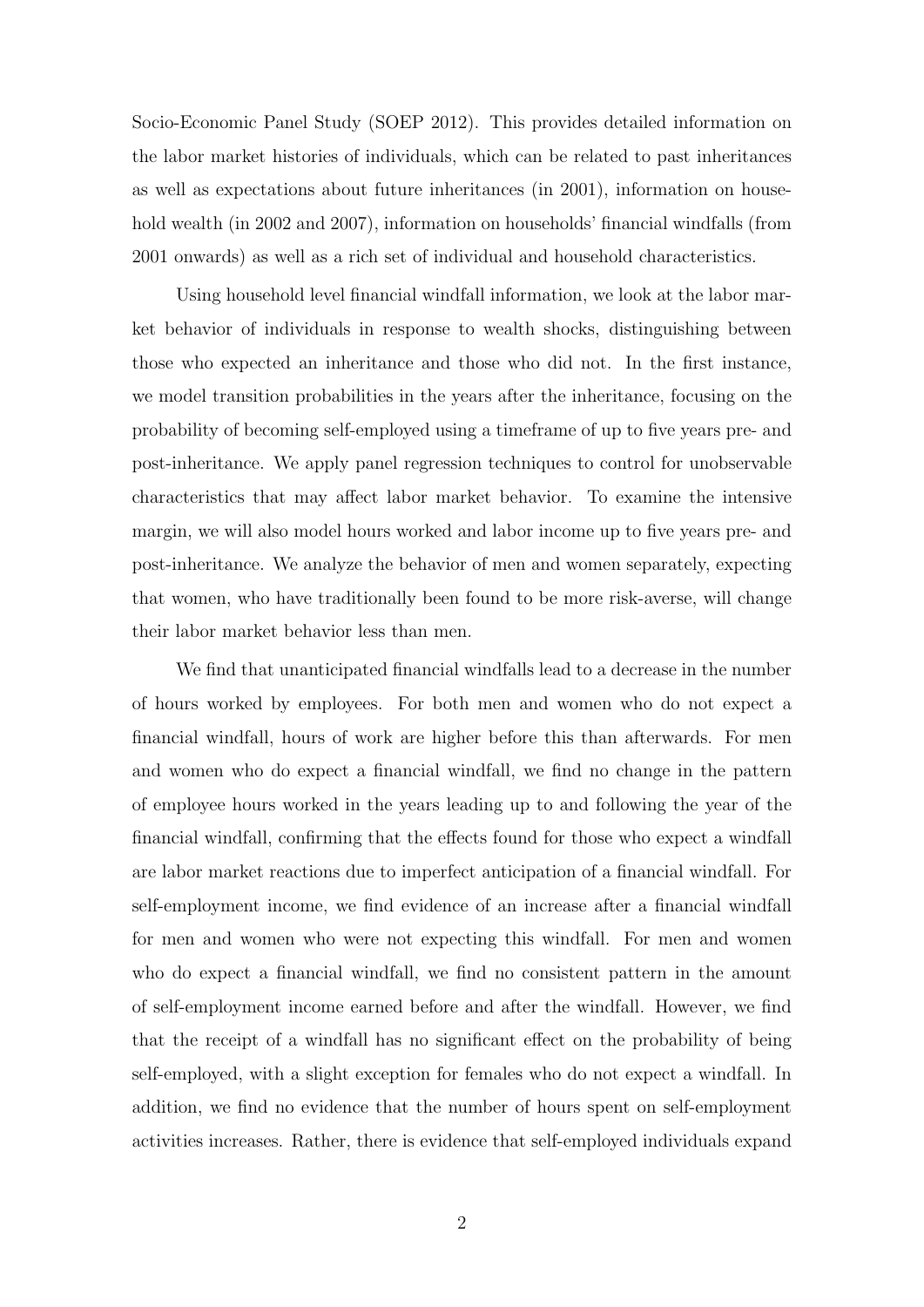Socio-Economic Panel Study (SOEP 2012). This provides detailed information on the labor market histories of individuals, which can be related to past inheritances as well as expectations about future inheritances (in 2001), information on household wealth (in 2002 and 2007), information on households' financial windfalls (from 2001 onwards) as well as a rich set of individual and household characteristics.

Using household level financial windfall information, we look at the labor market behavior of individuals in response to wealth shocks, distinguishing between those who expected an inheritance and those who did not. In the first instance, we model transition probabilities in the years after the inheritance, focusing on the probability of becoming self-employed using a timeframe of up to five years pre- and post-inheritance. We apply panel regression techniques to control for unobservable characteristics that may affect labor market behavior. To examine the intensive margin, we will also model hours worked and labor income up to five years pre- and post-inheritance. We analyze the behavior of men and women separately, expecting that women, who have traditionally been found to be more risk-averse, will change their labor market behavior less than men.

We find that unanticipated financial windfalls lead to a decrease in the number of hours worked by employees. For both men and women who do not expect a financial windfall, hours of work are higher before this than afterwards. For men and women who do expect a financial windfall, we find no change in the pattern of employee hours worked in the years leading up to and following the year of the financial windfall, confirming that the effects found for those who expect a windfall are labor market reactions due to imperfect anticipation of a financial windfall. For self-employment income, we find evidence of an increase after a financial windfall for men and women who were not expecting this windfall. For men and women who do expect a financial windfall, we find no consistent pattern in the amount of self-employment income earned before and after the windfall. However, we find that the receipt of a windfall has no significant effect on the probability of being self-employed, with a slight exception for females who do not expect a windfall. In addition, we find no evidence that the number of hours spent on self-employment activities increases. Rather, there is evidence that self-employed individuals expand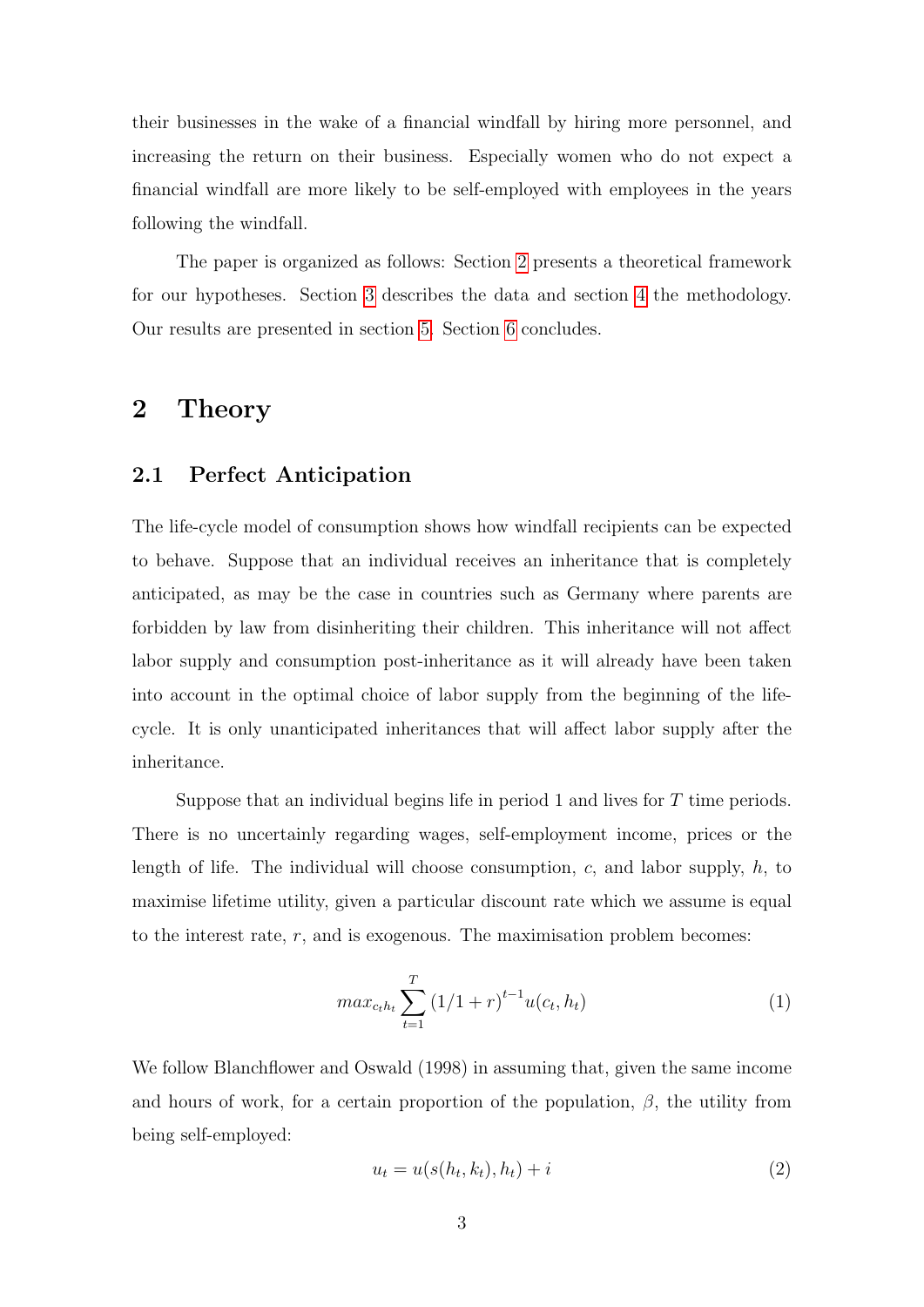their businesses in the wake of a financial windfall by hiring more personnel, and increasing the return on their business. Especially women who do not expect a financial windfall are more likely to be self-employed with employees in the years following the windfall.

The paper is organized as follows: Section [2](#page-3-0) presents a theoretical framework for our hypotheses. Section [3](#page-6-0) describes the data and section [4](#page-7-0) the methodology. Our results are presented in section [5.](#page-8-0) Section [6](#page-19-0) concludes.

### <span id="page-3-0"></span>2 Theory

#### 2.1 Perfect Anticipation

The life-cycle model of consumption shows how windfall recipients can be expected to behave. Suppose that an individual receives an inheritance that is completely anticipated, as may be the case in countries such as Germany where parents are forbidden by law from disinheriting their children. This inheritance will not affect labor supply and consumption post-inheritance as it will already have been taken into account in the optimal choice of labor supply from the beginning of the lifecycle. It is only unanticipated inheritances that will affect labor supply after the inheritance.

Suppose that an individual begins life in period 1 and lives for T time periods. There is no uncertainly regarding wages, self-employment income, prices or the length of life. The individual will choose consumption,  $c$ , and labor supply,  $h$ , to maximise lifetime utility, given a particular discount rate which we assume is equal to the interest rate,  $r$ , and is exogenous. The maximisation problem becomes:

$$
max_{c_t h_t} \sum_{t=1}^T (1/1+r)^{t-1} u(c_t, h_t)
$$
\n(1)

We follow Blanchflower and Oswald (1998) in assuming that, given the same income and hours of work, for a certain proportion of the population,  $\beta$ , the utility from being self-employed:

$$
u_t = u(s(h_t, k_t), h_t) + i \tag{2}
$$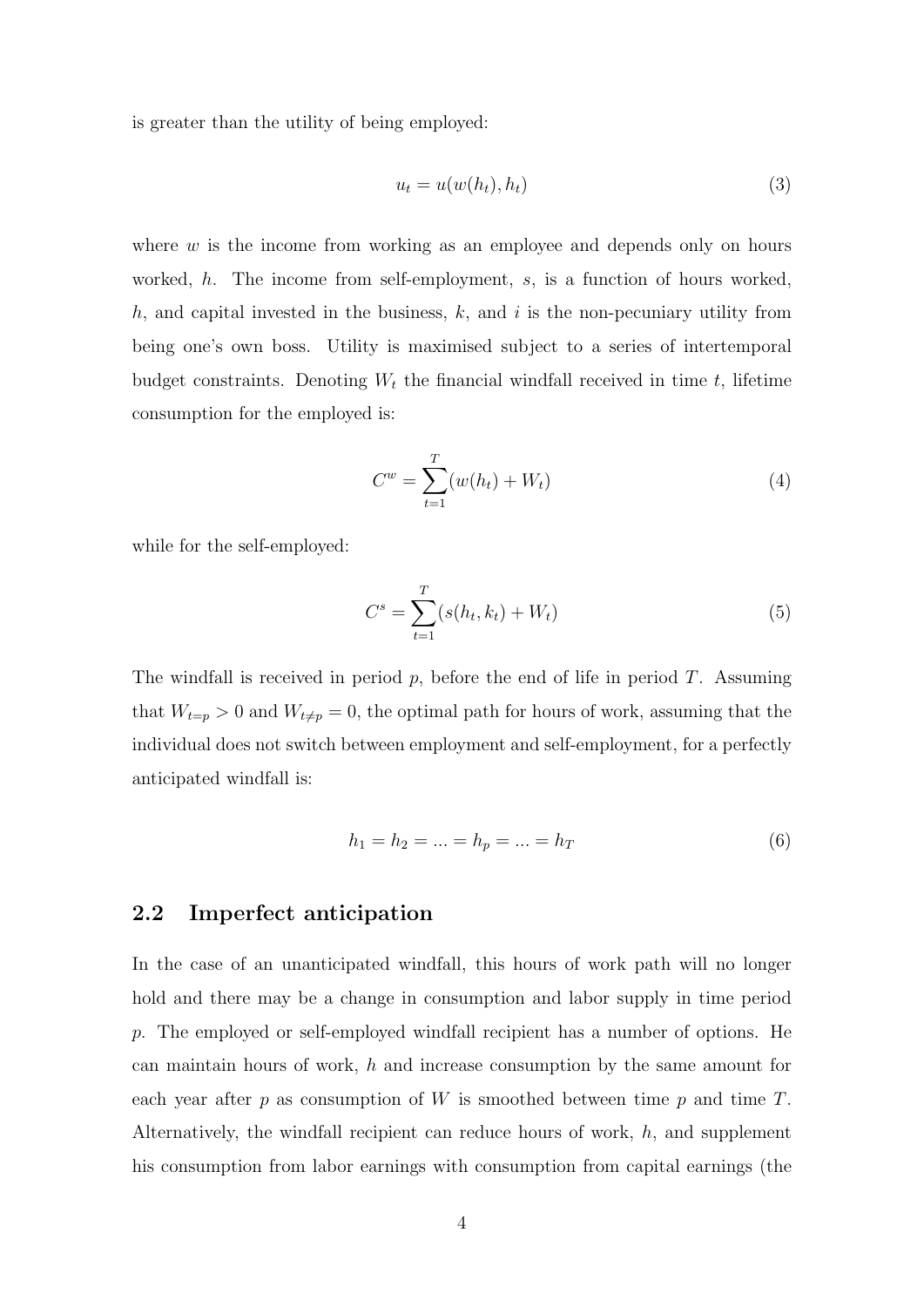is greater than the utility of being employed:

$$
u_t = u(w(h_t), h_t) \tag{3}
$$

where  $w$  is the income from working as an employee and depends only on hours worked, h. The income from self-employment, s, is a function of hours worked, h, and capital invested in the business,  $k$ , and  $i$  is the non-pecuniary utility from being one's own boss. Utility is maximised subject to a series of intertemporal budget constraints. Denoting  $W_t$  the financial windfall received in time t, lifetime consumption for the employed is:

$$
C^w = \sum_{t=1}^{T} (w(h_t) + W_t)
$$
\n(4)

while for the self-employed:

$$
C^{s} = \sum_{t=1}^{T} (s(h_t, k_t) + W_t)
$$
\n(5)

The windfall is received in period  $p$ , before the end of life in period  $T$ . Assuming that  $W_{t=p} > 0$  and  $W_{t\neq p} = 0$ , the optimal path for hours of work, assuming that the individual does not switch between employment and self-employment, for a perfectly anticipated windfall is:

$$
h_1 = h_2 = \dots = h_p = \dots = h_T \tag{6}
$$

#### 2.2 Imperfect anticipation

In the case of an unanticipated windfall, this hours of work path will no longer hold and there may be a change in consumption and labor supply in time period p. The employed or self-employed windfall recipient has a number of options. He can maintain hours of work,  $h$  and increase consumption by the same amount for each year after  $p$  as consumption of  $W$  is smoothed between time  $p$  and time  $T$ . Alternatively, the windfall recipient can reduce hours of work,  $h$ , and supplement his consumption from labor earnings with consumption from capital earnings (the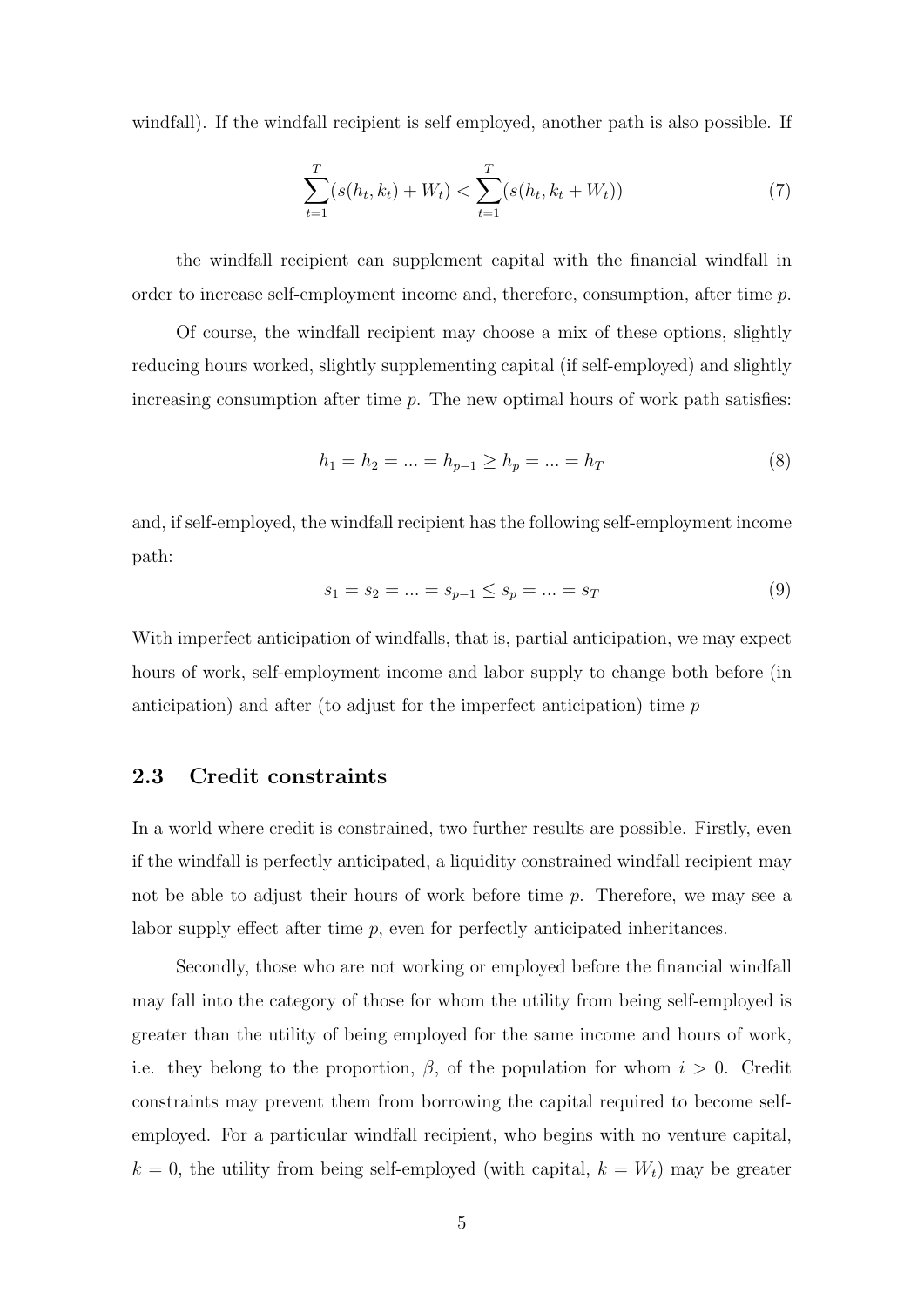windfall). If the windfall recipient is self employed, another path is also possible. If

<span id="page-5-2"></span>
$$
\sum_{t=1}^{T} (s(h_t, k_t) + W_t) < \sum_{t=1}^{T} (s(h_t, k_t + W_t)) \tag{7}
$$

the windfall recipient can supplement capital with the financial windfall in order to increase self-employment income and, therefore, consumption, after time p.

Of course, the windfall recipient may choose a mix of these options, slightly reducing hours worked, slightly supplementing capital (if self-employed) and slightly increasing consumption after time  $p$ . The new optimal hours of work path satisfies:

<span id="page-5-0"></span>
$$
h_1 = h_2 = \dots = h_{p-1} \ge h_p = \dots = h_T \tag{8}
$$

and, if self-employed, the windfall recipient has the following self-employment income path:

<span id="page-5-1"></span>
$$
s_1 = s_2 = \dots = s_{p-1} \le s_p = \dots = s_T \tag{9}
$$

With imperfect anticipation of windfalls, that is, partial anticipation, we may expect hours of work, self-employment income and labor supply to change both before (in anticipation) and after (to adjust for the imperfect anticipation) time  $p$ 

#### 2.3 Credit constraints

In a world where credit is constrained, two further results are possible. Firstly, even if the windfall is perfectly anticipated, a liquidity constrained windfall recipient may not be able to adjust their hours of work before time  $p$ . Therefore, we may see a labor supply effect after time p, even for perfectly anticipated inheritances.

Secondly, those who are not working or employed before the financial windfall may fall into the category of those for whom the utility from being self-employed is greater than the utility of being employed for the same income and hours of work, i.e. they belong to the proportion,  $\beta$ , of the population for whom  $i > 0$ . Credit constraints may prevent them from borrowing the capital required to become selfemployed. For a particular windfall recipient, who begins with no venture capital,  $k = 0$ , the utility from being self-employed (with capital,  $k = W_t$ ) may be greater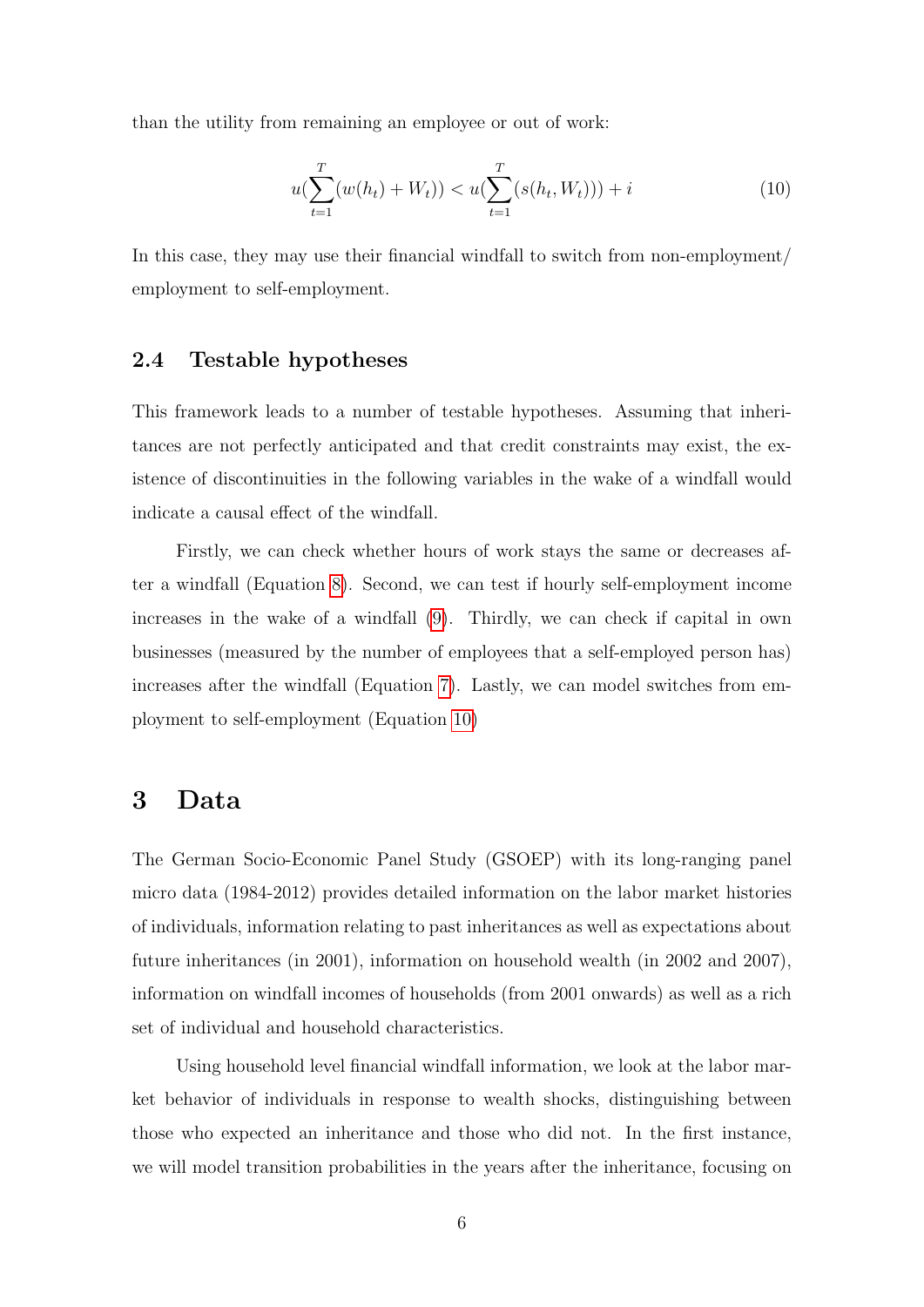than the utility from remaining an employee or out of work:

<span id="page-6-1"></span>
$$
u(\sum_{t=1}^{T} (w(h_t) + W_t)) < u(\sum_{t=1}^{T} (s(h_t, W_t))) + i \tag{10}
$$

In this case, they may use their financial windfall to switch from non-employment/ employment to self-employment.

#### 2.4 Testable hypotheses

This framework leads to a number of testable hypotheses. Assuming that inheritances are not perfectly anticipated and that credit constraints may exist, the existence of discontinuities in the following variables in the wake of a windfall would indicate a causal effect of the windfall.

Firstly, we can check whether hours of work stays the same or decreases after a windfall (Equation [8\)](#page-5-0). Second, we can test if hourly self-employment income increases in the wake of a windfall [\(9\)](#page-5-1). Thirdly, we can check if capital in own businesses (measured by the number of employees that a self-employed person has) increases after the windfall (Equation [7\)](#page-5-2). Lastly, we can model switches from employment to self-employment (Equation [10\)](#page-6-1)

### <span id="page-6-0"></span>3 Data

The German Socio-Economic Panel Study (GSOEP) with its long-ranging panel micro data (1984-2012) provides detailed information on the labor market histories of individuals, information relating to past inheritances as well as expectations about future inheritances (in 2001), information on household wealth (in 2002 and 2007), information on windfall incomes of households (from 2001 onwards) as well as a rich set of individual and household characteristics.

Using household level financial windfall information, we look at the labor market behavior of individuals in response to wealth shocks, distinguishing between those who expected an inheritance and those who did not. In the first instance, we will model transition probabilities in the years after the inheritance, focusing on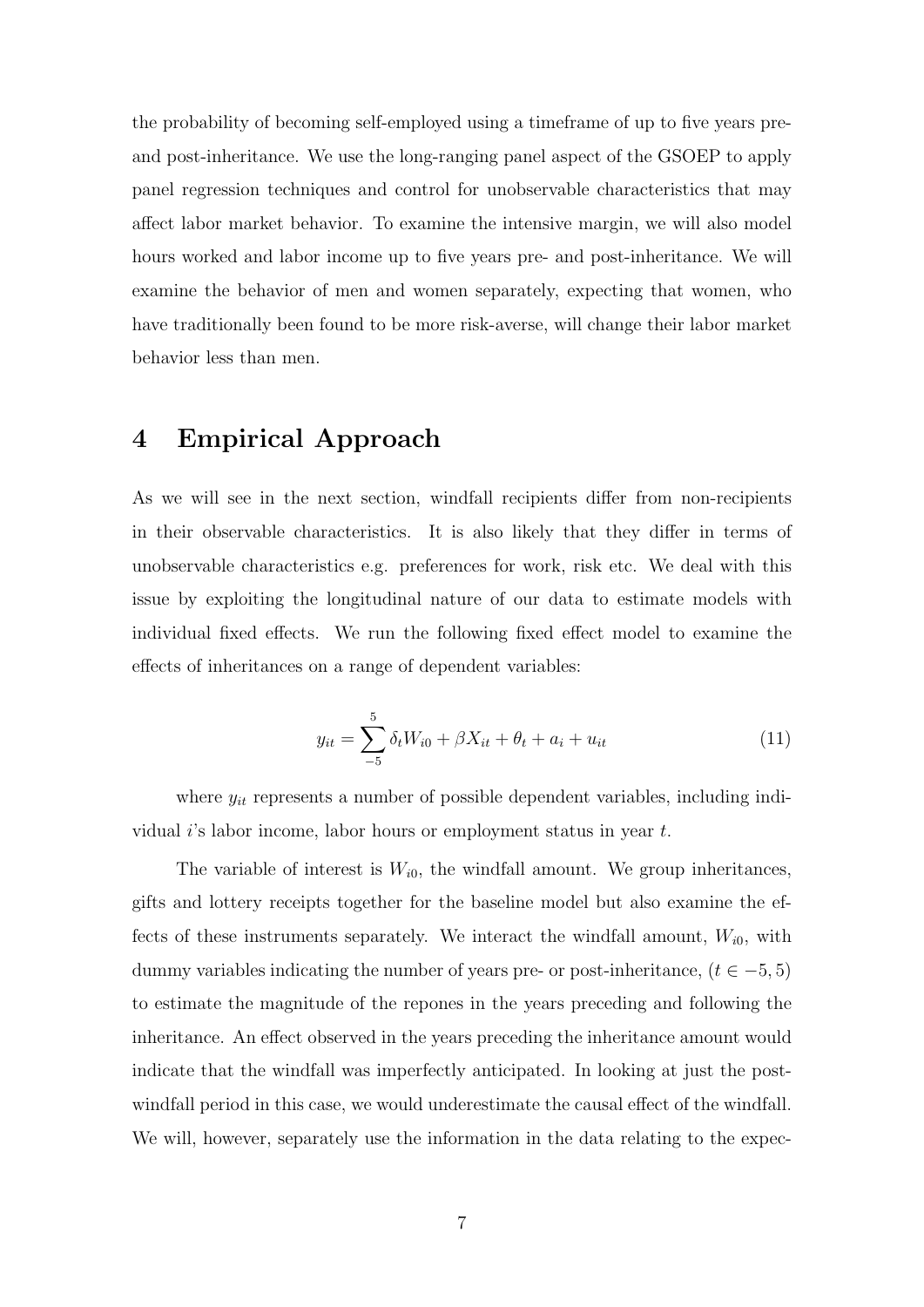the probability of becoming self-employed using a timeframe of up to five years preand post-inheritance. We use the long-ranging panel aspect of the GSOEP to apply panel regression techniques and control for unobservable characteristics that may affect labor market behavior. To examine the intensive margin, we will also model hours worked and labor income up to five years pre- and post-inheritance. We will examine the behavior of men and women separately, expecting that women, who have traditionally been found to be more risk-averse, will change their labor market behavior less than men.

### <span id="page-7-0"></span>4 Empirical Approach

As we will see in the next section, windfall recipients differ from non-recipients in their observable characteristics. It is also likely that they differ in terms of unobservable characteristics e.g. preferences for work, risk etc. We deal with this issue by exploiting the longitudinal nature of our data to estimate models with individual fixed effects. We run the following fixed effect model to examine the effects of inheritances on a range of dependent variables:

<span id="page-7-1"></span>
$$
y_{it} = \sum_{t=5}^{5} \delta_t W_{i0} + \beta X_{it} + \theta_t + a_i + u_{it}
$$
 (11)

where  $y_{it}$  represents a number of possible dependent variables, including individual i's labor income, labor hours or employment status in year  $t$ .

The variable of interest is  $W_{i0}$ , the windfall amount. We group inheritances, gifts and lottery receipts together for the baseline model but also examine the effects of these instruments separately. We interact the windfall amount,  $W_{i0}$ , with dummy variables indicating the number of years pre- or post-inheritance,  $(t \in -5, 5)$ to estimate the magnitude of the repones in the years preceding and following the inheritance. An effect observed in the years preceding the inheritance amount would indicate that the windfall was imperfectly anticipated. In looking at just the postwindfall period in this case, we would underestimate the causal effect of the windfall. We will, however, separately use the information in the data relating to the expec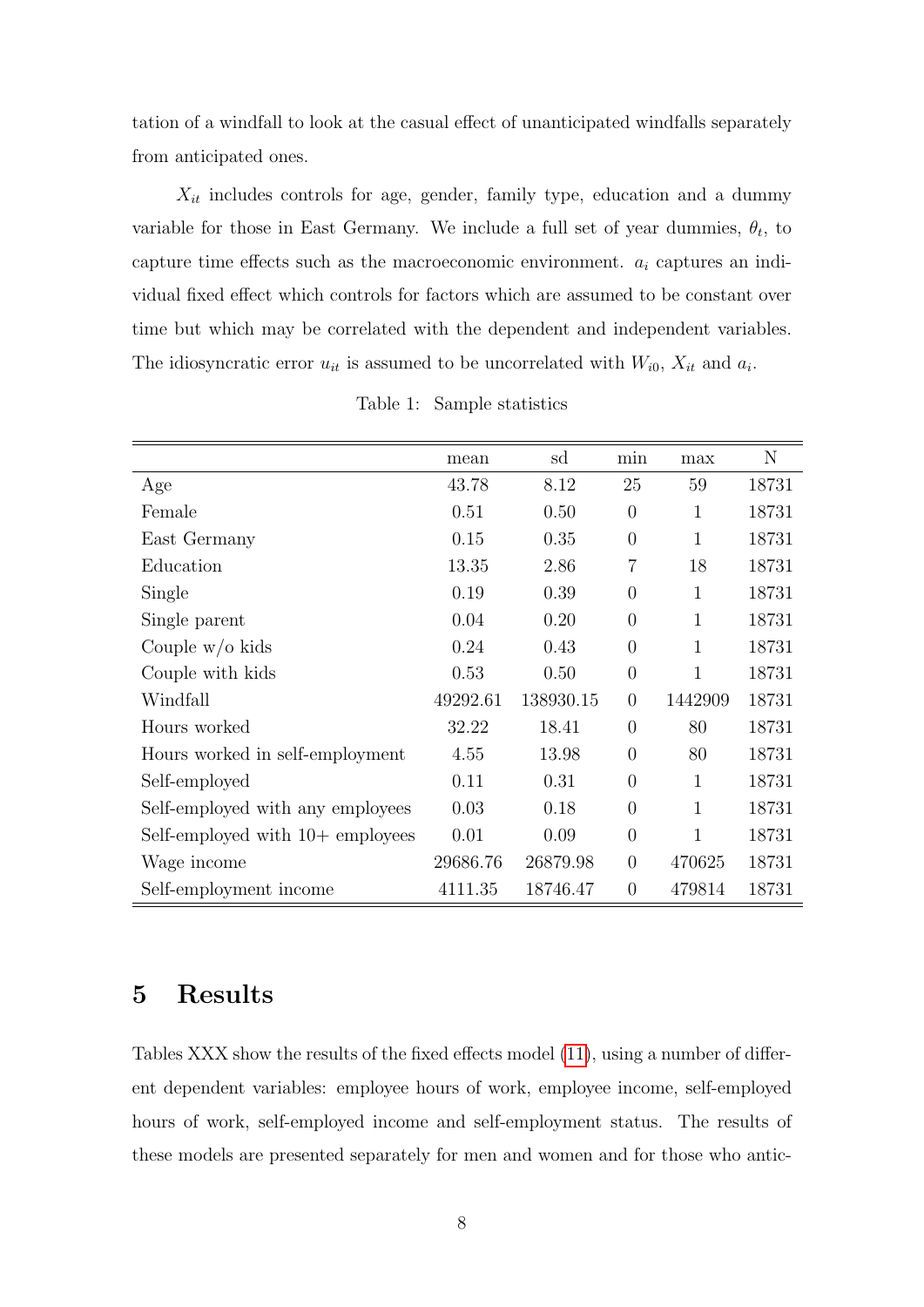tation of a windfall to look at the casual effect of unanticipated windfalls separately from anticipated ones.

 $X_{it}$  includes controls for age, gender, family type, education and a dummy variable for those in East Germany. We include a full set of year dummies,  $\theta_t$ , to capture time effects such as the macroeconomic environment.  $a_i$  captures an individual fixed effect which controls for factors which are assumed to be constant over time but which may be correlated with the dependent and independent variables. The idiosyncratic error  $u_{it}$  is assumed to be uncorrelated with  $W_{i0}$ ,  $X_{it}$  and  $a_i$ .

<span id="page-8-1"></span>

|                                    | mean     | sd        | min            | max          | N     |
|------------------------------------|----------|-----------|----------------|--------------|-------|
| Age                                | 43.78    | 8.12      | 25             | 59           | 18731 |
| Female                             | 0.51     | 0.50      | $\overline{0}$ | 1            | 18731 |
| East Germany                       | 0.15     | 0.35      | $\overline{0}$ | $\mathbf{1}$ | 18731 |
| Education                          | 13.35    | 2.86      | 7              | 18           | 18731 |
| Single                             | 0.19     | 0.39      | $\overline{0}$ | $\mathbf{1}$ | 18731 |
| Single parent                      | 0.04     | 0.20      | $\overline{0}$ | $\mathbf{1}$ | 18731 |
| Couple $w/o$ kids                  | 0.24     | 0.43      | $\overline{0}$ | 1            | 18731 |
| Couple with kids                   | 0.53     | 0.50      | $\overline{0}$ | 1            | 18731 |
| Windfall                           | 49292.61 | 138930.15 | $\overline{0}$ | 1442909      | 18731 |
| Hours worked                       | 32.22    | 18.41     | $\theta$       | 80           | 18731 |
| Hours worked in self-employment    | 4.55     | 13.98     | $\overline{0}$ | 80           | 18731 |
| Self-employed                      | 0.11     | 0.31      | $\overline{0}$ | 1            | 18731 |
| Self-employed with any employees   | 0.03     | 0.18      | $\theta$       | 1            | 18731 |
| Self-employed with $10+$ employees | 0.01     | 0.09      | $\overline{0}$ | 1            | 18731 |
| Wage income                        | 29686.76 | 26879.98  | $\overline{0}$ | 470625       | 18731 |
| Self-employment income             | 4111.35  | 18746.47  | $\overline{0}$ | 479814       | 18731 |

Table 1: Sample statistics

### <span id="page-8-0"></span>5 Results

Tables XXX show the results of the fixed effects model [\(11\)](#page-7-1), using a number of different dependent variables: employee hours of work, employee income, self-employed hours of work, self-employed income and self-employment status. The results of these models are presented separately for men and women and for those who antic-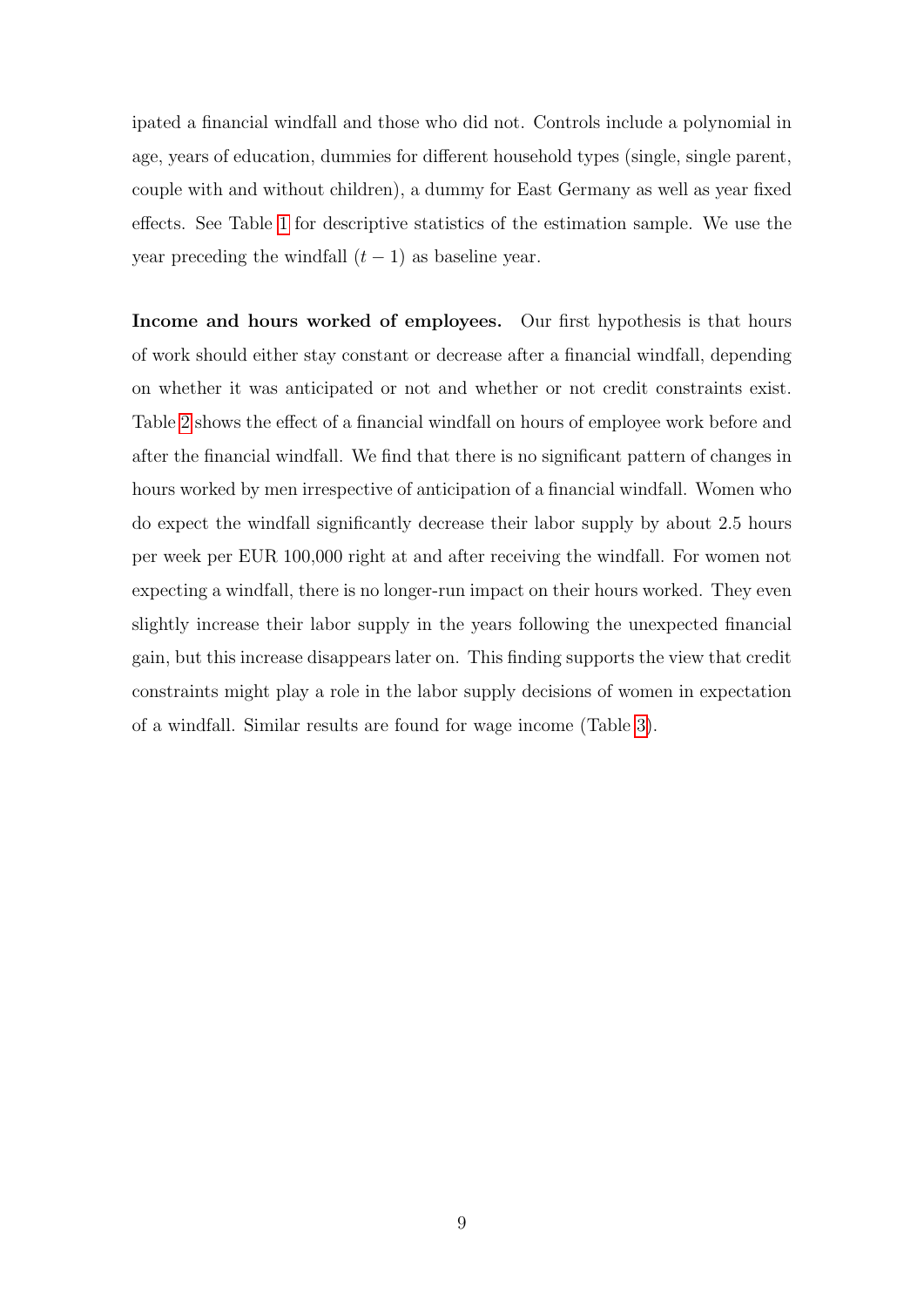ipated a financial windfall and those who did not. Controls include a polynomial in age, years of education, dummies for different household types (single, single parent, couple with and without children), a dummy for East Germany as well as year fixed effects. See Table [1](#page-8-1) for descriptive statistics of the estimation sample. We use the year preceding the windfall  $(t-1)$  as baseline year.

Income and hours worked of employees. Our first hypothesis is that hours of work should either stay constant or decrease after a financial windfall, depending on whether it was anticipated or not and whether or not credit constraints exist. Table [2](#page-10-0) shows the effect of a financial windfall on hours of employee work before and after the financial windfall. We find that there is no significant pattern of changes in hours worked by men irrespective of anticipation of a financial windfall. Women who do expect the windfall significantly decrease their labor supply by about 2.5 hours per week per EUR 100,000 right at and after receiving the windfall. For women not expecting a windfall, there is no longer-run impact on their hours worked. They even slightly increase their labor supply in the years following the unexpected financial gain, but this increase disappears later on. This finding supports the view that credit constraints might play a role in the labor supply decisions of women in expectation of a windfall. Similar results are found for wage income (Table [3\)](#page-11-0).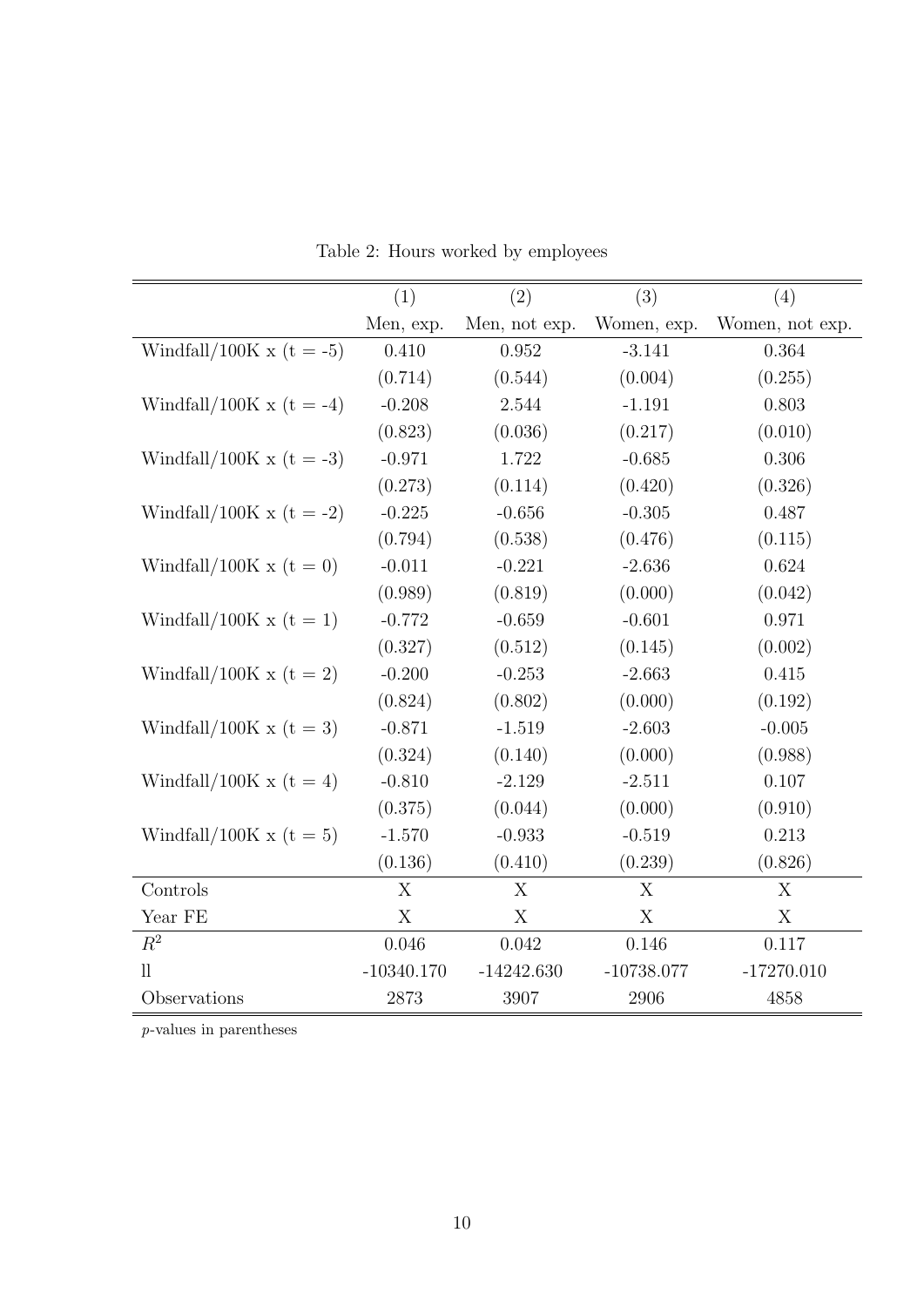<span id="page-10-0"></span>

|                              | (1)          | (2)           | (3)          | (4)             |
|------------------------------|--------------|---------------|--------------|-----------------|
|                              | Men, exp.    | Men, not exp. | Women, exp.  | Women, not exp. |
| Windfall/100K x (t = -5)     | 0.410        | 0.952         | $-3.141$     | 0.364           |
|                              | (0.714)      | (0.544)       | (0.004)      | (0.255)         |
| Windfall/100K x ( $t = -4$ ) | $-0.208$     | 2.544         | $-1.191$     | 0.803           |
|                              | (0.823)      | (0.036)       | (0.217)      | (0.010)         |
| Windfall/100K x ( $t = -3$ ) | $-0.971$     | 1.722         | $-0.685$     | 0.306           |
|                              | (0.273)      | (0.114)       | (0.420)      | (0.326)         |
| Windfall/100K x (t = -2)     | $-0.225$     | $-0.656$      | $-0.305$     | 0.487           |
|                              | (0.794)      | (0.538)       | (0.476)      | (0.115)         |
| Windfall/100K x ( $t = 0$ )  | $-0.011$     | $-0.221$      | $-2.636$     | 0.624           |
|                              | (0.989)      | (0.819)       | (0.000)      | (0.042)         |
| Windfall/100K x $(t = 1)$    | $-0.772$     | $-0.659$      | $-0.601$     | 0.971           |
|                              | (0.327)      | (0.512)       | (0.145)      | (0.002)         |
| Windfall/100K x ( $t = 2$ )  | $-0.200$     | $-0.253$      | $-2.663$     | 0.415           |
|                              | (0.824)      | (0.802)       | (0.000)      | (0.192)         |
| Windfall/100K x ( $t = 3$ )  | $-0.871$     | $-1.519$      | $-2.603$     | $-0.005$        |
|                              | (0.324)      | (0.140)       | (0.000)      | (0.988)         |
| Windfall/100K x ( $t = 4$ )  | $-0.810$     | $-2.129$      | $-2.511$     | 0.107           |
|                              | (0.375)      | (0.044)       | (0.000)      | (0.910)         |
| Windfall/100K x ( $t = 5$ )  | $-1.570$     | $-0.933$      | $-0.519$     | 0.213           |
|                              | (0.136)      | (0.410)       | (0.239)      | (0.826)         |
| Controls                     | X            | X             | X            | X               |
| Year FE                      | X            | X             | X            | X               |
| $R^2$                        | 0.046        | 0.042         | 0.146        | 0.117           |
| $\mathop{\text{ll}}$         | $-10340.170$ | $-14242.630$  | $-10738.077$ | $-17270.010$    |
| Observations                 | 2873         | 3907          | 2906         | 4858            |

Table 2: Hours worked by employees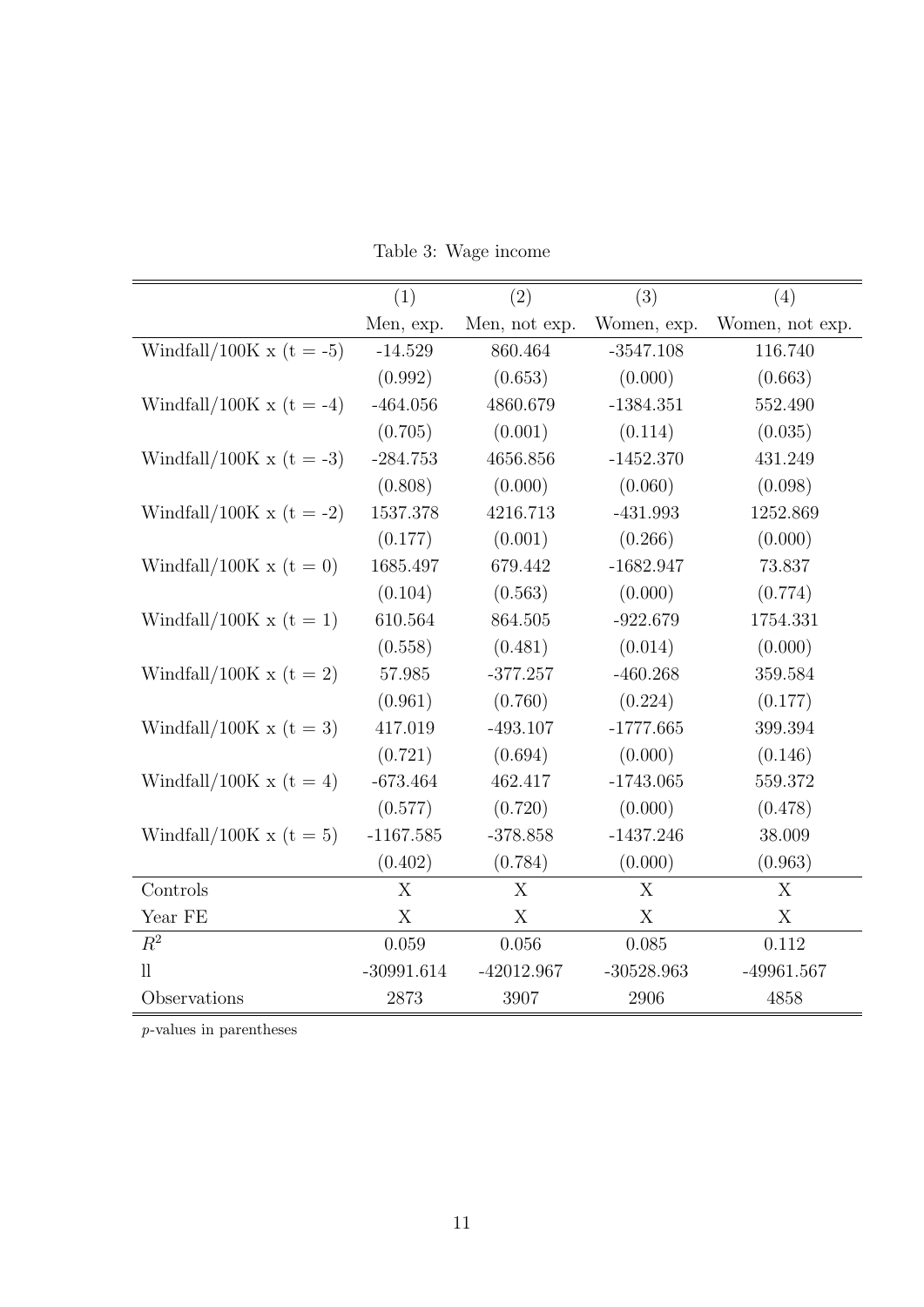Table 3: Wage income

<span id="page-11-0"></span>

|                              | (1)          | (2)           | (3)          | (4)             |
|------------------------------|--------------|---------------|--------------|-----------------|
|                              | Men, exp.    | Men, not exp. | Women, exp.  | Women, not exp. |
| Windfall/100K x (t = -5)     | $-14.529$    | 860.464       | $-3547.108$  | 116.740         |
|                              | (0.992)      | (0.653)       | (0.000)      | (0.663)         |
| Windfall/100K x (t = -4)     | $-464.056$   | 4860.679      | $-1384.351$  | 552.490         |
|                              | (0.705)      | (0.001)       | (0.114)      | (0.035)         |
| Windfall/100K x ( $t = -3$ ) | $-284.753$   | 4656.856      | $-1452.370$  | 431.249         |
|                              | (0.808)      | (0.000)       | (0.060)      | (0.098)         |
| Windfall/100K x (t = -2)     | 1537.378     | 4216.713      | $-431.993$   | 1252.869        |
|                              | (0.177)      | (0.001)       | (0.266)      | (0.000)         |
| Windfall/100K x ( $t = 0$ )  | 1685.497     | 679.442       | $-1682.947$  | 73.837          |
|                              | (0.104)      | (0.563)       | (0.000)      | (0.774)         |
| Windfall/100K x ( $t = 1$ )  | 610.564      | 864.505       | $-922.679$   | 1754.331        |
|                              | (0.558)      | (0.481)       | (0.014)      | (0.000)         |
| Windfall/100K x ( $t = 2$ )  | 57.985       | $-377.257$    | $-460.268$   | 359.584         |
|                              | (0.961)      | (0.760)       | (0.224)      | (0.177)         |
| Windfall/100K x ( $t = 3$ )  | 417.019      | $-493.107$    | $-1777.665$  | 399.394         |
|                              | (0.721)      | (0.694)       | (0.000)      | (0.146)         |
| Windfall/100K x (t = 4)      | $-673.464$   | 462.417       | $-1743.065$  | 559.372         |
|                              | (0.577)      | (0.720)       | (0.000)      | (0.478)         |
| Windfall/100K x ( $t = 5$ )  | $-1167.585$  | $-378.858$    | $-1437.246$  | 38.009          |
|                              | (0.402)      | (0.784)       | (0.000)      | (0.963)         |
| Controls                     | X            | X             | X            | X               |
| Year FE                      | X            | X             | X            | X               |
| $R^2$                        | 0.059        | 0.056         | 0.085        | 0.112           |
| $_{\rm ll}$                  | $-30991.614$ | $-42012.967$  | $-30528.963$ | $-49961.567$    |
| Observations                 | 2873         | 3907          | 2906         | 4858            |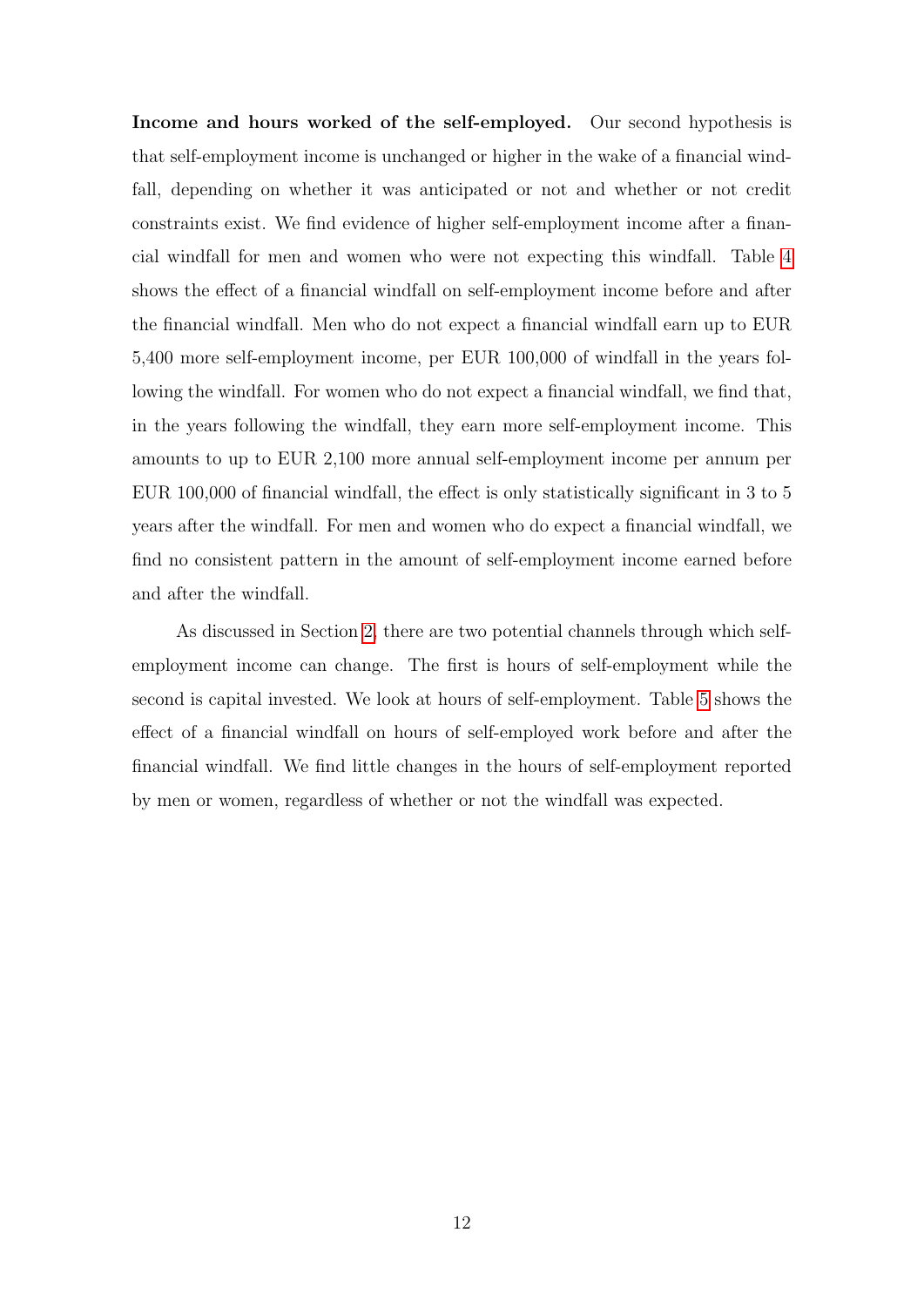Income and hours worked of the self-employed. Our second hypothesis is that self-employment income is unchanged or higher in the wake of a financial windfall, depending on whether it was anticipated or not and whether or not credit constraints exist. We find evidence of higher self-employment income after a financial windfall for men and women who were not expecting this windfall. Table [4](#page-13-0) shows the effect of a financial windfall on self-employment income before and after the financial windfall. Men who do not expect a financial windfall earn up to EUR 5,400 more self-employment income, per EUR 100,000 of windfall in the years following the windfall. For women who do not expect a financial windfall, we find that, in the years following the windfall, they earn more self-employment income. This amounts to up to EUR 2,100 more annual self-employment income per annum per EUR 100,000 of financial windfall, the effect is only statistically significant in 3 to 5 years after the windfall. For men and women who do expect a financial windfall, we find no consistent pattern in the amount of self-employment income earned before and after the windfall.

As discussed in Section [2,](#page-3-0) there are two potential channels through which selfemployment income can change. The first is hours of self-employment while the second is capital invested. We look at hours of self-employment. Table [5](#page-14-0) shows the effect of a financial windfall on hours of self-employed work before and after the financial windfall. We find little changes in the hours of self-employment reported by men or women, regardless of whether or not the windfall was expected.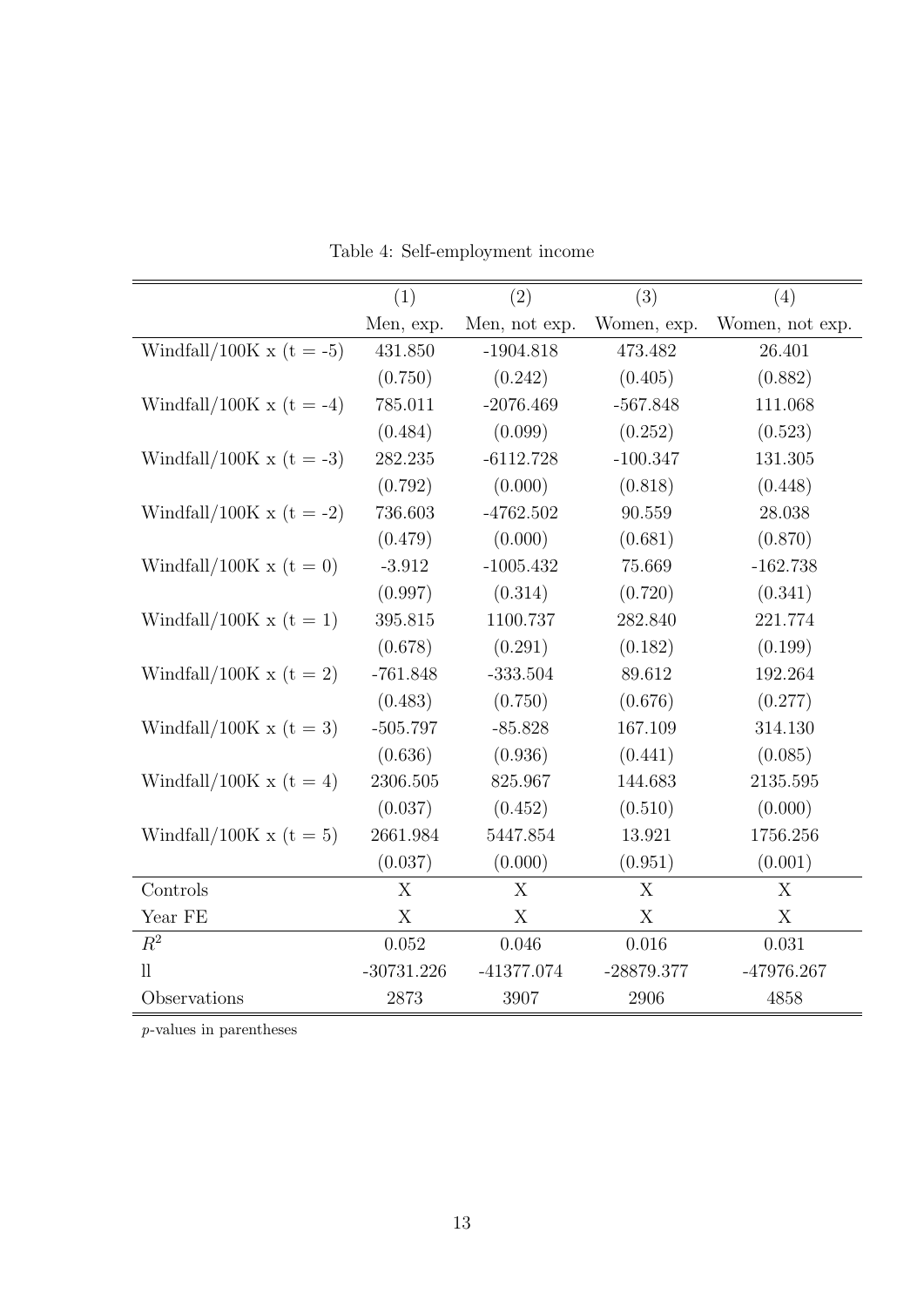<span id="page-13-0"></span>

|                              | (1)          | (2)           | (3)          | (4)             |
|------------------------------|--------------|---------------|--------------|-----------------|
|                              | Men, exp.    | Men, not exp. | Women, exp.  | Women, not exp. |
| Windfall/100K x ( $t = -5$ ) | 431.850      | $-1904.818$   | 473.482      | 26.401          |
|                              | (0.750)      | (0.242)       | (0.405)      | (0.882)         |
| Windfall/100K x (t = -4)     | 785.011      | $-2076.469$   | $-567.848$   | 111.068         |
|                              | (0.484)      | (0.099)       | (0.252)      | (0.523)         |
| Windfall/100K x ( $t = -3$ ) | 282.235      | $-6112.728$   | $-100.347$   | 131.305         |
|                              | (0.792)      | (0.000)       | (0.818)      | (0.448)         |
| Windfall/100K x (t = -2)     | 736.603      | $-4762.502$   | 90.559       | $28.038\,$      |
|                              | (0.479)      | (0.000)       | (0.681)      | (0.870)         |
| Windfall/100K x ( $t = 0$ )  | $-3.912$     | $-1005.432$   | 75.669       | $-162.738$      |
|                              | (0.997)      | (0.314)       | (0.720)      | (0.341)         |
| Windfall/100K x ( $t = 1$ )  | 395.815      | 1100.737      | 282.840      | 221.774         |
|                              | (0.678)      | (0.291)       | (0.182)      | (0.199)         |
| Windfall/100K x (t = 2)      | $-761.848$   | $-333.504$    | 89.612       | 192.264         |
|                              | (0.483)      | (0.750)       | (0.676)      | (0.277)         |
| Windfall/100K x ( $t = 3$ )  | $-505.797$   | $-85.828$     | 167.109      | 314.130         |
|                              | (0.636)      | (0.936)       | (0.441)      | (0.085)         |
| Windfall/100K x (t = 4)      | 2306.505     | 825.967       | 144.683      | 2135.595        |
|                              | (0.037)      | (0.452)       | (0.510)      | (0.000)         |
| Windfall/100K x ( $t = 5$ )  | 2661.984     | 5447.854      | 13.921       | 1756.256        |
|                              | (0.037)      | (0.000)       | (0.951)      | (0.001)         |
| Controls                     | X            | X             | X            | X               |
| Year FE                      | X            | X             | X            | X               |
| $R^2$                        | 0.052        | 0.046         | 0.016        | 0.031           |
| $_{\rm ll}$                  | $-30731.226$ | $-41377.074$  | $-28879.377$ | -47976.267      |
| Observations                 | 2873         | 3907          | 2906         | 4858            |

Table 4: Self-employment income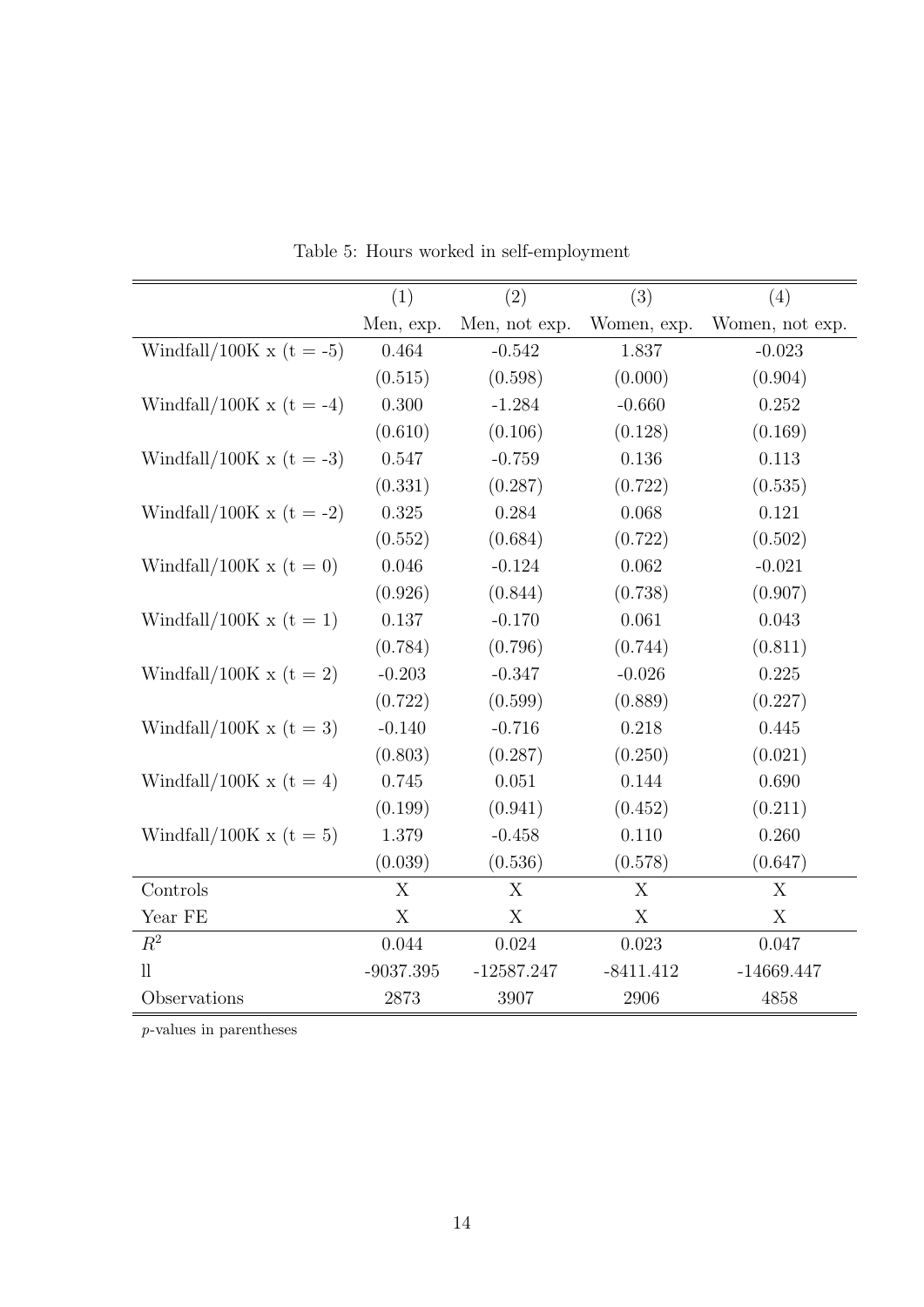<span id="page-14-0"></span>

|                              | (1)         | (2)           | (3)         | (4)             |
|------------------------------|-------------|---------------|-------------|-----------------|
|                              | Men, exp.   | Men, not exp. | Women, exp. | Women, not exp. |
| Windfall/100K x ( $t = -5$ ) | 0.464       | $-0.542$      | 1.837       | $-0.023$        |
|                              | (0.515)     | (0.598)       | (0.000)     | (0.904)         |
| Windfall/100K x (t = -4)     | 0.300       | $-1.284$      | $-0.660$    | 0.252           |
|                              | (0.610)     | (0.106)       | (0.128)     | (0.169)         |
| Windfall/100K x ( $t = -3$ ) | 0.547       | $-0.759$      | 0.136       | 0.113           |
|                              | (0.331)     | (0.287)       | (0.722)     | (0.535)         |
| Windfall/100K x (t = -2)     | 0.325       | 0.284         | 0.068       | 0.121           |
|                              | (0.552)     | (0.684)       | (0.722)     | (0.502)         |
| Windfall/100K x ( $t = 0$ )  | 0.046       | $-0.124$      | 0.062       | $-0.021$        |
|                              | (0.926)     | (0.844)       | (0.738)     | (0.907)         |
| Windfall/100K x ( $t = 1$ )  | 0.137       | $-0.170$      | 0.061       | 0.043           |
|                              | (0.784)     | (0.796)       | (0.744)     | (0.811)         |
| Windfall/100K x ( $t = 2$ )  | $-0.203$    | $-0.347$      | $-0.026$    | 0.225           |
|                              | (0.722)     | (0.599)       | (0.889)     | (0.227)         |
| Windfall/100K x ( $t = 3$ )  | $-0.140$    | $-0.716$      | 0.218       | 0.445           |
|                              | (0.803)     | (0.287)       | (0.250)     | (0.021)         |
| Windfall/100K x (t = 4)      | 0.745       | 0.051         | 0.144       | 0.690           |
|                              | (0.199)     | (0.941)       | (0.452)     | (0.211)         |
| Windfall/100K x ( $t = 5$ )  | 1.379       | $-0.458$      | 0.110       | 0.260           |
|                              | (0.039)     | (0.536)       | (0.578)     | (0.647)         |
| Controls                     | X           | X             | X           | X               |
| Year FE                      | X           | X             | X           | X               |
| $R^2$                        | 0.044       | 0.024         | 0.023       | 0.047           |
| $\mathop{\text{ll}}$         | $-9037.395$ | $-12587.247$  | $-8411.412$ | $-14669.447$    |
| Observations                 | 2873        | 3907          | 2906        | 4858            |

Table 5: Hours worked in self-employment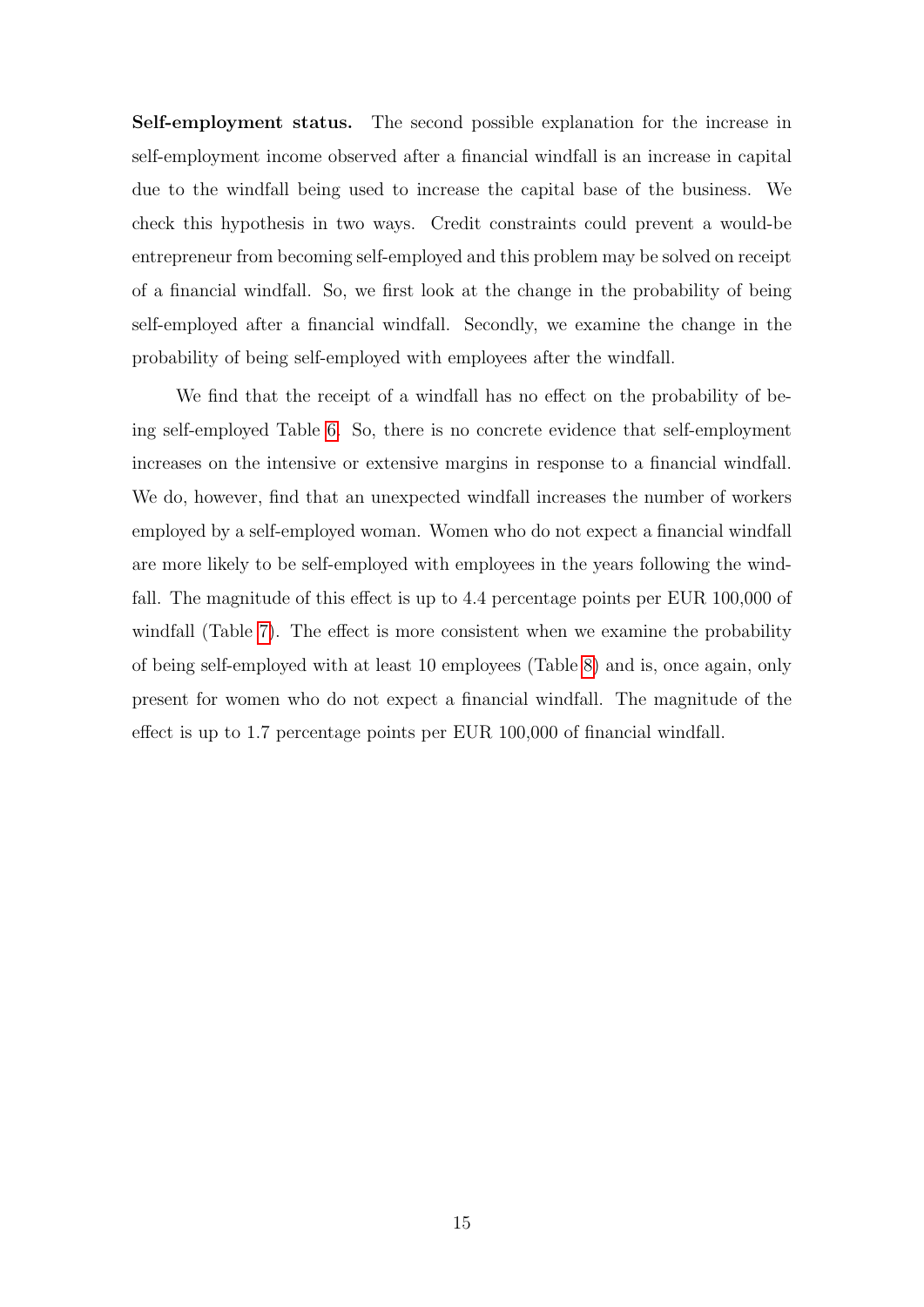Self-employment status. The second possible explanation for the increase in self-employment income observed after a financial windfall is an increase in capital due to the windfall being used to increase the capital base of the business. We check this hypothesis in two ways. Credit constraints could prevent a would-be entrepreneur from becoming self-employed and this problem may be solved on receipt of a financial windfall. So, we first look at the change in the probability of being self-employed after a financial windfall. Secondly, we examine the change in the probability of being self-employed with employees after the windfall.

We find that the receipt of a windfall has no effect on the probability of being self-employed Table [6.](#page-16-0) So, there is no concrete evidence that self-employment increases on the intensive or extensive margins in response to a financial windfall. We do, however, find that an unexpected windfall increases the number of workers employed by a self-employed woman. Women who do not expect a financial windfall are more likely to be self-employed with employees in the years following the windfall. The magnitude of this effect is up to 4.4 percentage points per EUR 100,000 of windfall (Table [7\)](#page-17-0). The effect is more consistent when we examine the probability of being self-employed with at least 10 employees (Table [8\)](#page-18-0) and is, once again, only present for women who do not expect a financial windfall. The magnitude of the effect is up to 1.7 percentage points per EUR 100,000 of financial windfall.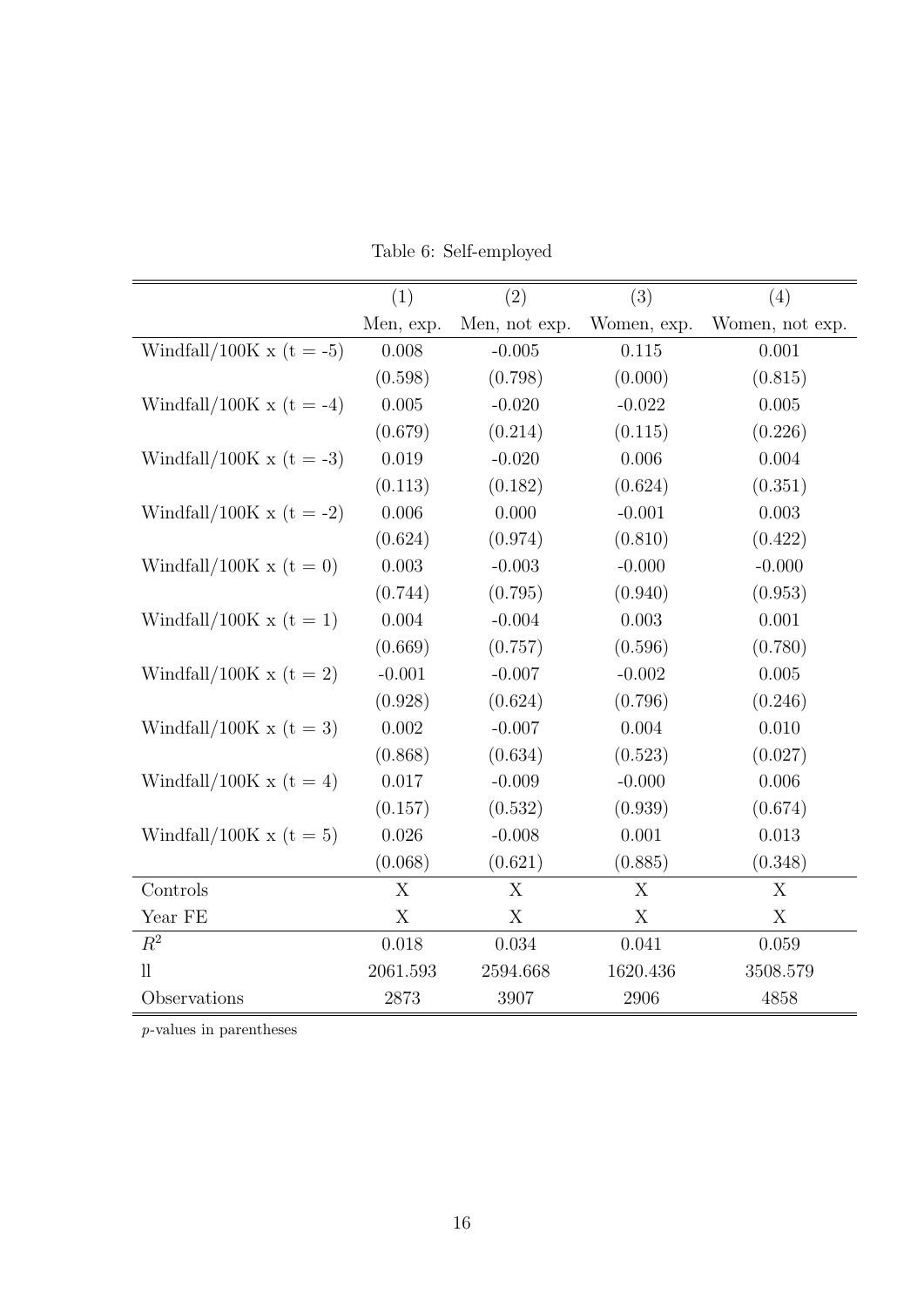|  | Table 6: Self-employed |  |
|--|------------------------|--|
|--|------------------------|--|

<span id="page-16-0"></span>

|                              | (1)       | (2)           | (3)         | (4)             |
|------------------------------|-----------|---------------|-------------|-----------------|
|                              | Men, exp. | Men, not exp. | Women, exp. | Women, not exp. |
| Windfall/100K x (t = -5)     | 0.008     | $-0.005$      | 0.115       | 0.001           |
|                              | (0.598)   | (0.798)       | (0.000)     | (0.815)         |
| Windfall/100K x (t = -4)     | 0.005     | $-0.020$      | $-0.022$    | 0.005           |
|                              | (0.679)   | (0.214)       | (0.115)     | (0.226)         |
| Windfall/100K x ( $t = -3$ ) | 0.019     | $-0.020$      | 0.006       | 0.004           |
|                              | (0.113)   | (0.182)       | (0.624)     | (0.351)         |
| Windfall/100K x (t = -2)     | 0.006     | 0.000         | $-0.001$    | 0.003           |
|                              | (0.624)   | (0.974)       | (0.810)     | (0.422)         |
| Windfall/100K x ( $t = 0$ )  | 0.003     | $-0.003$      | $-0.000$    | $-0.000$        |
|                              | (0.744)   | (0.795)       | (0.940)     | (0.953)         |
| Windfall/100K x ( $t = 1$ )  | 0.004     | $-0.004$      | 0.003       | 0.001           |
|                              | (0.669)   | (0.757)       | (0.596)     | (0.780)         |
| Windfall/100K x (t = 2)      | $-0.001$  | $-0.007$      | $-0.002$    | 0.005           |
|                              | (0.928)   | (0.624)       | (0.796)     | (0.246)         |
| Windfall/100K x ( $t = 3$ )  | 0.002     | $-0.007$      | 0.004       | 0.010           |
|                              | (0.868)   | (0.634)       | (0.523)     | (0.027)         |
| Windfall/100K x (t = 4)      | 0.017     | $-0.009$      | $-0.000$    | 0.006           |
|                              | (0.157)   | (0.532)       | (0.939)     | (0.674)         |
| Windfall/100K x ( $t = 5$ )  | 0.026     | $-0.008$      | 0.001       | 0.013           |
|                              | (0.068)   | (0.621)       | (0.885)     | (0.348)         |
| Controls                     | X         | X             | X           | X               |
| Year FE                      | X         | X             | X           | X               |
| $R^2$                        | 0.018     | 0.034         | 0.041       | 0.059           |
| $\mathop{\text{ll}}$         | 2061.593  | 2594.668      | 1620.436    | 3508.579        |
| Observations                 | 2873      | 3907          | 2906        | 4858            |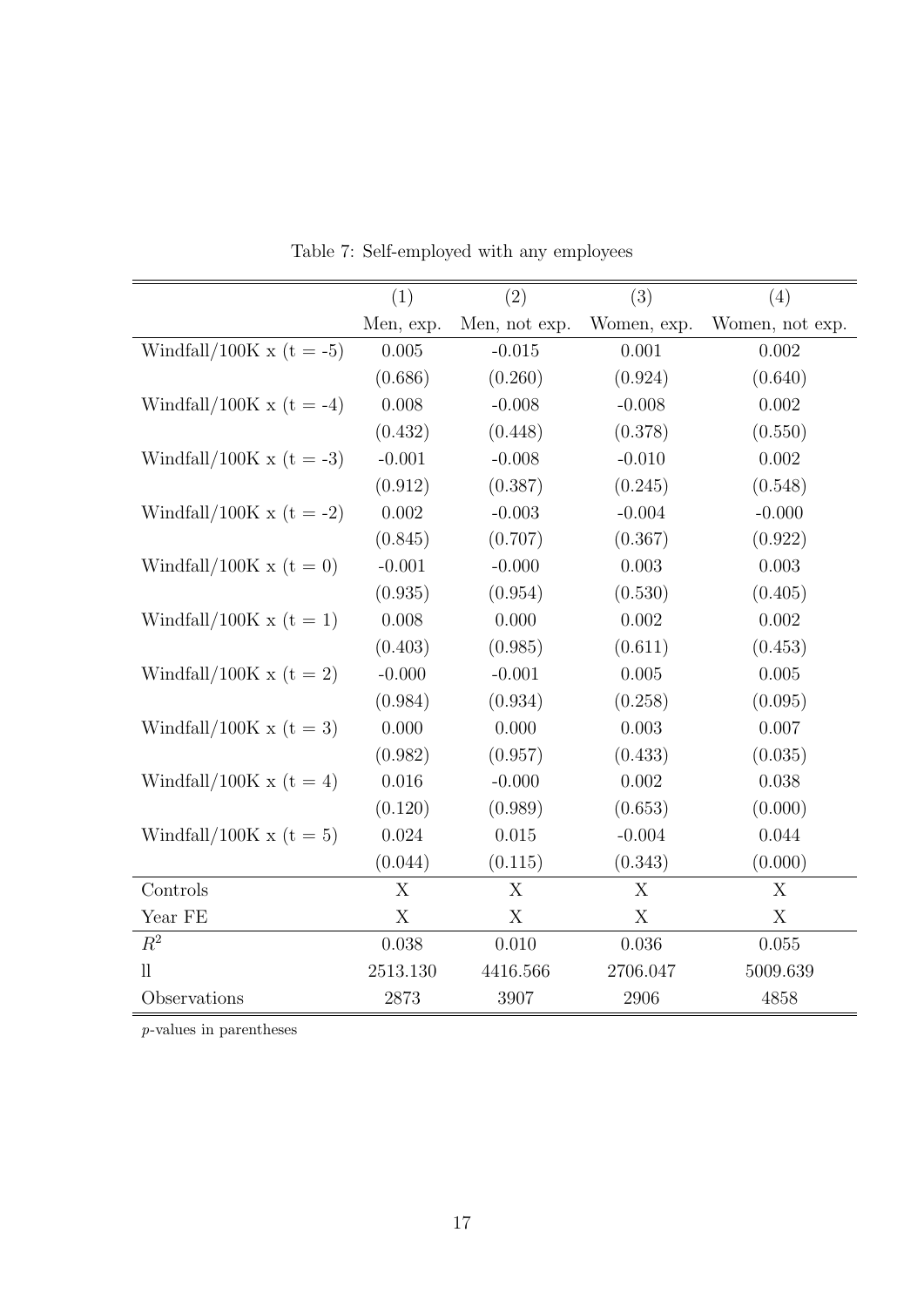<span id="page-17-0"></span>

|                             | (1)          | (2)           | (3)         | (4)             |
|-----------------------------|--------------|---------------|-------------|-----------------|
|                             | Men, exp.    | Men, not exp. | Women, exp. | Women, not exp. |
| Windfall/100K x (t = -5)    | 0.005        | $-0.015$      | 0.001       | 0.002           |
|                             | (0.686)      | (0.260)       | (0.924)     | (0.640)         |
| Windfall/100K x (t = -4)    | 0.008        | $-0.008$      | $-0.008$    | 0.002           |
|                             | (0.432)      | (0.448)       | (0.378)     | (0.550)         |
| Windfall/100K x (t = -3)    | $-0.001$     | $-0.008$      | $-0.010$    | 0.002           |
|                             | (0.912)      | (0.387)       | (0.245)     | (0.548)         |
| Windfall/100K x (t = -2)    | 0.002        | $-0.003$      | $-0.004$    | $-0.000$        |
|                             | (0.845)      | (0.707)       | (0.367)     | (0.922)         |
| Windfall/100K x ( $t = 0$ ) | $-0.001$     | $-0.000$      | 0.003       | 0.003           |
|                             | (0.935)      | (0.954)       | (0.530)     | (0.405)         |
| Windfall/100K x ( $t = 1$ ) | 0.008        | 0.000         | 0.002       | 0.002           |
|                             | (0.403)      | (0.985)       | (0.611)     | (0.453)         |
| Windfall/100K x ( $t = 2$ ) | $-0.000$     | $-0.001$      | 0.005       | 0.005           |
|                             | (0.984)      | (0.934)       | (0.258)     | (0.095)         |
| Windfall/100K x ( $t = 3$ ) | 0.000        | 0.000         | 0.003       | 0.007           |
|                             | (0.982)      | (0.957)       | (0.433)     | (0.035)         |
| Windfall/100K x (t = 4)     | 0.016        | $-0.000$      | 0.002       | 0.038           |
|                             | (0.120)      | (0.989)       | (0.653)     | (0.000)         |
| Windfall/100K x ( $t = 5$ ) | 0.024        | 0.015         | $-0.004$    | 0.044           |
|                             | (0.044)      | (0.115)       | (0.343)     | (0.000)         |
| Controls                    | $\mathbf{X}$ | X             | X           | X               |
| Year FE                     | X            | X             | X           | X               |
| $R^2$                       | 0.038        | 0.010         | 0.036       | 0.055           |
| $_{\rm ll}$                 | 2513.130     | 4416.566      | 2706.047    | 5009.639        |
| Observations                | 2873         | 3907          | 2906        | 4858            |

Table 7: Self-employed with any employees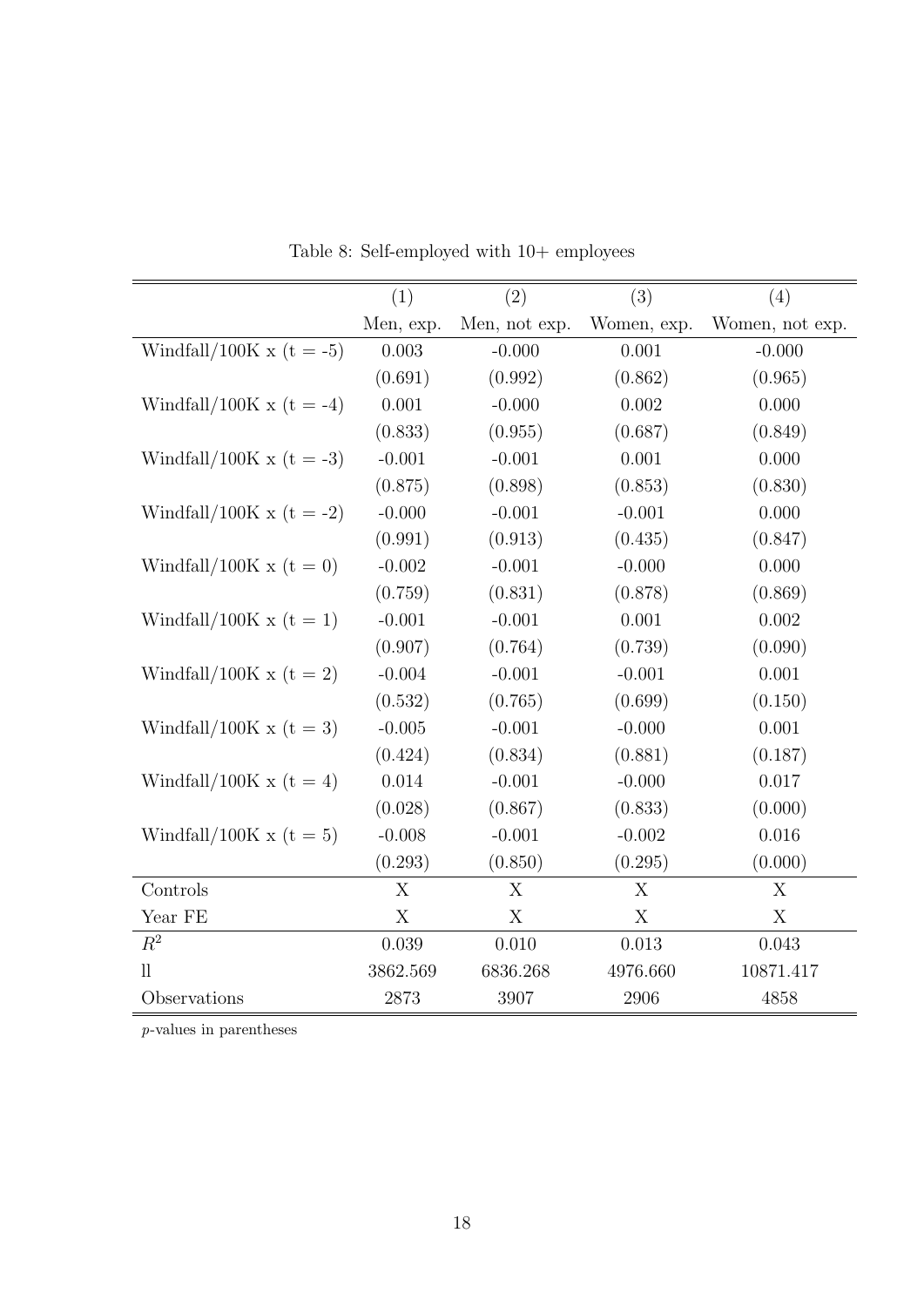<span id="page-18-0"></span>

|                             | (1)          | (2)           | (3)         | (4)             |
|-----------------------------|--------------|---------------|-------------|-----------------|
|                             | Men, exp.    | Men, not exp. | Women, exp. | Women, not exp. |
| Windfall/100K x (t = -5)    | 0.003        | $-0.000$      | 0.001       | $-0.000$        |
|                             | (0.691)      | (0.992)       | (0.862)     | (0.965)         |
| Windfall/100K x (t = -4)    | 0.001        | $-0.000$      | 0.002       | 0.000           |
|                             | (0.833)      | (0.955)       | (0.687)     | (0.849)         |
| Windfall/100K x (t = -3)    | $-0.001$     | $-0.001$      | 0.001       | 0.000           |
|                             | (0.875)      | (0.898)       | (0.853)     | (0.830)         |
| Windfall/100K x (t = -2)    | $-0.000$     | $-0.001$      | $-0.001$    | 0.000           |
|                             | (0.991)      | (0.913)       | (0.435)     | (0.847)         |
| Windfall/100K x ( $t = 0$ ) | $-0.002$     | $-0.001$      | $-0.000$    | 0.000           |
|                             | (0.759)      | (0.831)       | (0.878)     | (0.869)         |
| Windfall/100K x ( $t = 1$ ) | $-0.001$     | $-0.001$      | 0.001       | 0.002           |
|                             | (0.907)      | (0.764)       | (0.739)     | (0.090)         |
| Windfall/100K x ( $t = 2$ ) | $-0.004$     | $-0.001$      | $-0.001$    | 0.001           |
|                             | (0.532)      | (0.765)       | (0.699)     | (0.150)         |
| Windfall/100K x ( $t = 3$ ) | $-0.005$     | $-0.001$      | $-0.000$    | 0.001           |
|                             | (0.424)      | (0.834)       | (0.881)     | (0.187)         |
| Windfall/100K x (t = 4)     | 0.014        | $-0.001$      | $-0.000$    | 0.017           |
|                             | (0.028)      | (0.867)       | (0.833)     | (0.000)         |
| Windfall/100K x ( $t = 5$ ) | $-0.008$     | $-0.001$      | $-0.002$    | 0.016           |
|                             | (0.293)      | (0.850)       | (0.295)     | (0.000)         |
| Controls                    | $\mathbf{X}$ | X             | X           | X               |
| Year FE                     | X            | X             | X           | X               |
| $R^2$                       | 0.039        | 0.010         | 0.013       | 0.043           |
| $_{\rm ll}$                 | 3862.569     | 6836.268      | 4976.660    | 10871.417       |
| Observations                | 2873         | 3907          | 2906        | 4858            |

Table 8: Self-employed with 10+ employees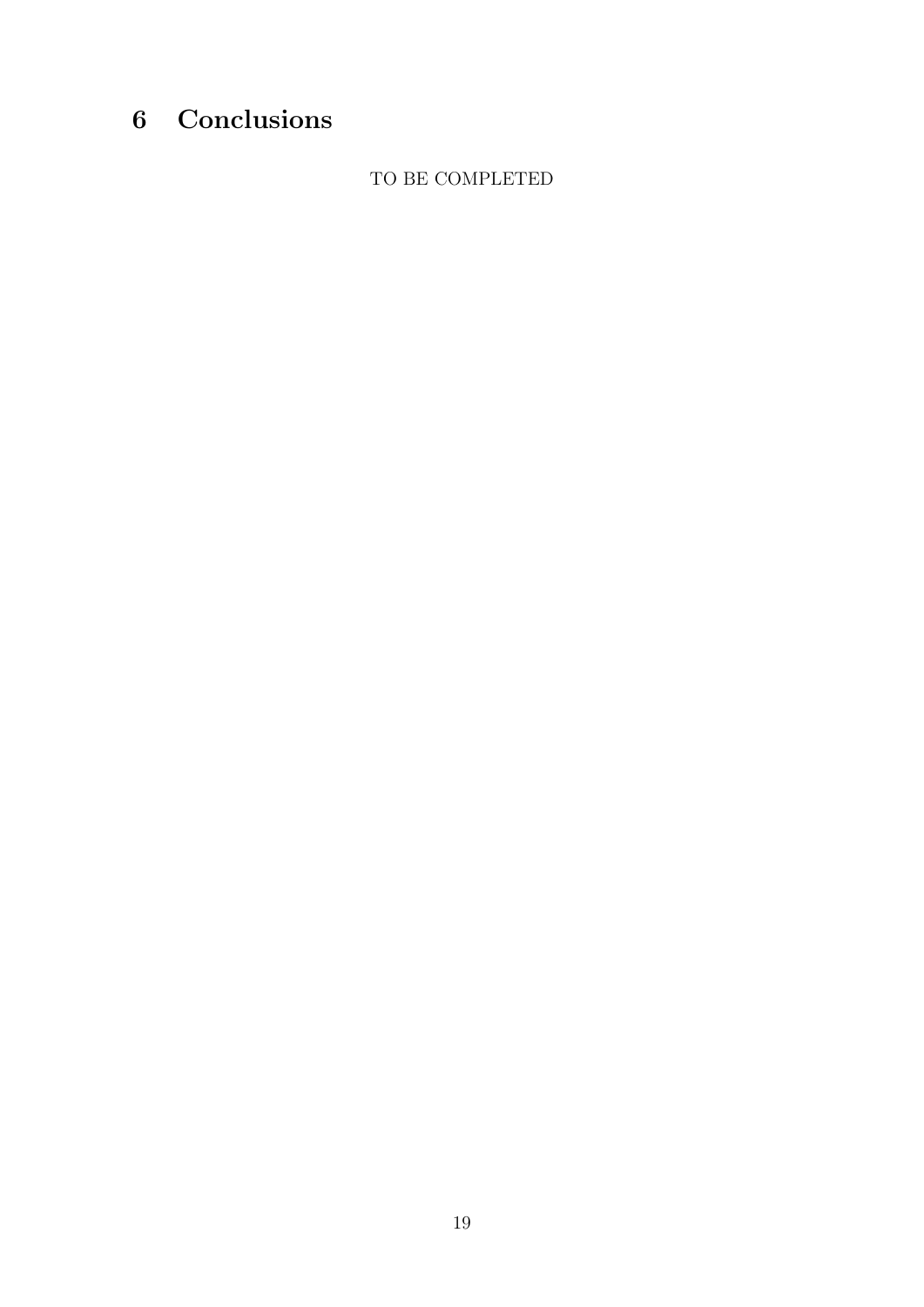## <span id="page-19-0"></span>6 Conclusions

TO BE COMPLETED